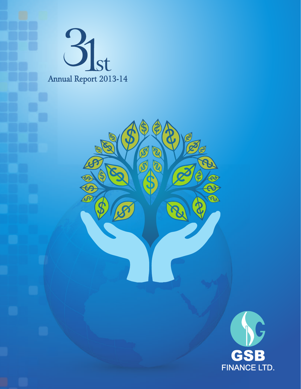

50

 $\boldsymbol{q}$ 

8

 $\cancel{C}$ 

 $\widetilde{\mathcal{L}}$ **B** 

2 (2)

R

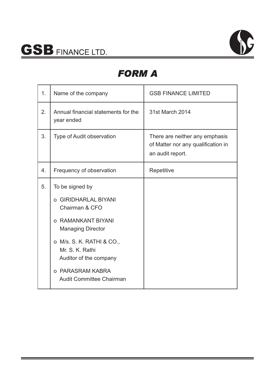

### *FORM A*

| 1. | Name of the company                                                                                                                                                                                                                          | <b>GSB FINANCE LIMITED</b>                                                               |
|----|----------------------------------------------------------------------------------------------------------------------------------------------------------------------------------------------------------------------------------------------|------------------------------------------------------------------------------------------|
| 2. | Annual financial statements for the<br>year ended                                                                                                                                                                                            | 31st March 2014                                                                          |
| 3. | Type of Audit observation                                                                                                                                                                                                                    | There are neither any emphasis<br>of Matter nor any qualification in<br>an audit report. |
| 4. | Frequency of observation                                                                                                                                                                                                                     | Repetitive                                                                               |
| 5. | To be signed by<br>o GIRIDHARLAL BIYANI<br>Chairman & CFO<br>o RAMANKANT BIYANI<br><b>Managing Director</b><br>o M/s. S. K. RATHI & CO.,<br>Mr. S. K. Rathi<br>Auditor of the company<br>o PARASRAM KABRA<br><b>Audit Committee Chairman</b> |                                                                                          |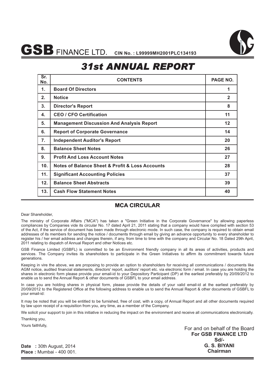

### **CSB** FINANCE LTD. CIN No. : L99999MH2001PLC134193

### *31st ANNUAL REPORT*

| Sr.<br>No. | <b>CONTENTS</b>                                  | PAGE NO.       |
|------------|--------------------------------------------------|----------------|
| 1.         | <b>Board Of Directors</b>                        | 1              |
| 2.         | <b>Notice</b>                                    | $\overline{2}$ |
| 3.         | <b>Director's Report</b>                         | 8              |
| 4.         | <b>CEO / CFO Certification</b>                   | 11             |
| 5.         | <b>Management Discussion And Analysis Report</b> | $12 \,$        |
| 6.         | <b>Report of Corporate Governance</b>            | 14             |
| 7.         | <b>Independent Auditor's Report</b>              | 20             |
| 8.         | <b>Balance Sheet Notes</b>                       | 26             |
| 9.         | <b>Profit And Loss Account Notes</b>             | 27             |
| 10.        | Notes of Balance Sheet & Profit & Loss Accounts  | 28             |
| 11.        | <b>Significant Accounting Policies</b>           | 37             |
| 12.        | <b>Balance Sheet Abstracts</b>                   | 39             |
| 13.        | <b>Cash Flow Statement Notes</b>                 | 40             |

### **MCA CIRCULAR**

Dear Shareholder,

The ministry of Corporate Affairs ("MCA") has taken a "Green Initiative in the Corporate Governance" by allowing paperless compliances by Companies vide its circular No. 17 dated April 21, 2011 stating that a company would have complied with section 53 of the Act, if the service of document has been made through electronic mode. In such case, the company is required to obtain email addresses of its members for sending the notice / documents through email by giving an advance opportunity to every shareholder to register his / her email address and changes therein, if any, from time to time with the company and Circular No. 18 Dated 29th April, 2011 relating to dispatch of Annual Report and other Notices etc.

GSB Finance Limited (GSBFL) is committed to be an Environment friendly company in all its areas of activities, products and services. The Company invites its shareholders to participate in the Green Initiatives to affirm its commitment towards future generations.

Keeping in vire the above, we are proposing to provide an option to shareholders for receiving all communications / documents like AGM notice, audited financial statements, directors' report, auditors' report etc. via electronic form / email. In case you are holding the shares in electronic form please provide your email-id to your Depository Participant (DP) at the earliest preferably by 20/09/2012 to enable us to send the Annual Report & other documents of GSBFL to your email address.

In case you are holding shares in physical form, please provide the details of your valid email-id at the earliest preferably by 20/09/2012 to the Registered Office at the following address to enable us to send the Annual Report & other documents of GSBFL to your email-id:

It may be noted that you will be entitled to be furnished, free of cost, with a copy, of Annual Report and all other documents required by law upon receipt of a requisition from you, any time, as a member of the Company.

We solicit your support to join in this initiative in reducing the impact on the environment and receive all communications electronically.

Thanking you,

Yours faithfully,

For and on behalf of the Board **For GSB FINANCE LTD Sd/- G. S. BIYANI Chairman**

**Date :** 30th August, 2014 **Place :** Mumbai - 400 001.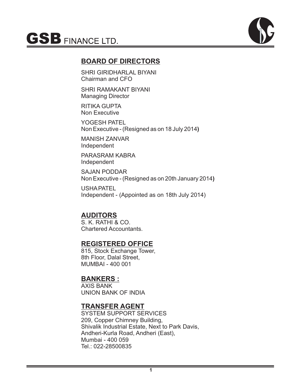

### **BOARD OF DIRECTORS**

SHRI GIRIDHARLAL BIYANI Chairman and CFO

SHRI RAMAKANT BIYANI Managing Director

RITIKA GUPTA Non Executive

YOGESH PATEL Non Executive - (Resigned as on 18 July 2014**)**

MANISH ZANVAR Independent

PARASRAM KABRA Independent

SAJAN PODDAR Non Executive - (Resigned as on 20th January 2014**)**

USHAPATEL Independent - (Appointed as on 18th July 2014)

### **AUDITORS**

S. K. RATHI & CO. Chartered Accountants.

### **REGISTERED OFFICE**

815, Stock Exchange Tower, 8th Floor, Dalal Street, MUMBAI - 400 001

### **BANKERS :**

AXIS BANK UNION BANK OF INDIA

### **TRANSFER AGENT**

SYSTEM SUPPORT SERVICES 209, Copper Chimney Building, Shivalik Industrial Estate, Next to Park Davis, Andheri-Kurla Road, Andheri (East), Mumbai - 400 059 Tel.: 022-28500835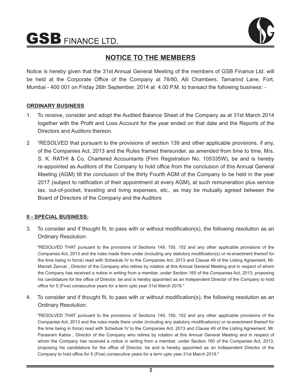### $\mathbf{GSB}$  finance ltd.



### **NOTICE TO THE MEMBERS**

Notice is hereby given that the 31st Annual General Meeting of the members of GSB Finance Ltd. will be held at the Corporate Office of the Company at 78/80, Alli Chambers, Tamarind Lane, Fort, Mumbai - 400 001 on Friday 26th September, 2014 at 4.00 P.M. to transact the following business: -

### **ORDINARY BUSINESS**

- 1. To receive, consider and adopt the Audited Balance Sheet of the Company as at 31st March 2014 together with the Profit and Loss Account for the year ended on that date and the Reports of the Directors and Auditors thereon.
- 2 "RESOLVED that pursuant to the provisions of section 139 and other applicable provisions, if any, of the Companies Act, 2013 and the Rules framed thereunder, as amended from time to time, M/s. S. K. RATHI & Co, Chartered Accountants (Firm Registration No. 105335W), be and is hereby re-appointed as Auditors of the Company to hold office from the conclusion of this Annual General Meeting (AGM) till the conclusion of the thirty Fourth AGM of the Company to be held in the year 2017 (subject to ratification of their appointment at every AGM), at such remuneration plus service tax, out-of-pocket, traveling and living expenses, etc., as may be mutually agreed between the Board of Directors of the Company and the Auditors

### **II - SPECIAL BUSINESS:**

3. To consider and if thought fit, to pass with or without modification(s), the following resolution as an Ordinary Resolution:

"RESOLVED THAT pursuant to the provisions of Sections 149, 150, 152 and any other applicable provisions of the Companies Act, 2013 and the rules made there under (including any statutory modification(s) or re-enactment thereof for the time being in force) read with Schedule IV to the Companies Act, 2013 and Clause 49 of the Listing Agreement, Mr. Manish Zanvar , Director of the Company who retires by rotation at this Annual General Meeting and in respect of whom the Company has received a notice in writing from a member, under Section 160 of the Companies Act, 2013, proposing his candidature for the office of Director, be and is hereby appointed as an Independent Director of the Company to hold office for 5 (Five) consecutive years for a term upto year 31st March 2019."

4. To consider and if thought fit, to pass with or without modification(s), the following resolution as an Ordinary Resolution:

"RESOLVED THAT pursuant to the provisions of Sections 149, 150, 152 and any other applicable provisions of the Companies Act, 2013 and the rules made there under (including any statutory modification(s) or re-enactment thereof for the time being in force) read with Schedule IV to the Companies Act, 2013 and Clause 49 of the Listing Agreement, Mr. Parasram Kabra , Director of the Company who retires by rotation at this Annual General Meeting and in respect of whom the Company has received a notice in writing from a member, under Section 160 of the Companies Act, 2013, proposing his candidature for the office of Director, be and is hereby appointed as an Independent Director of the Company to hold office for 5 (Five) consecutive years for a term upto year 31st March 2019."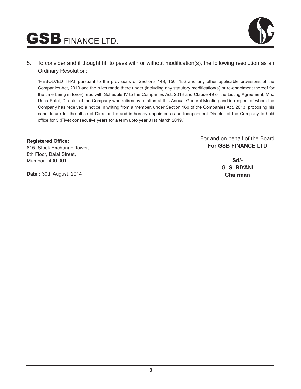

5. To consider and if thought fit, to pass with or without modification(s), the following resolution as an Ordinary Resolution:

"RESOLVED THAT pursuant to the provisions of Sections 149, 150, 152 and any other applicable provisions of the Companies Act, 2013 and the rules made there under (including any statutory modification(s) or re-enactment thereof for the time being in force) read with Schedule IV to the Companies Act, 2013 and Clause 49 of the Listing Agreement, Mrs. Usha Patel, Director of the Company who retires by rotation at this Annual General Meeting and in respect of whom the Company has received a notice in writing from a member, under Section 160 of the Companies Act, 2013, proposing his candidature for the office of Director, be and is hereby appointed as an Independent Director of the Company to hold office for 5 (Five) consecutive years for a term upto year 31st March 2019."

**Registered Office:**

815, Stock Exchange Tower, 8th Floor, Dalal Street, Mumbai - 400 001.

**Date :** 30th August, 2014

For and on behalf of the Board **For GSB FINANCE LTD**

> **Sd/- G. S. BIYANI Chairman**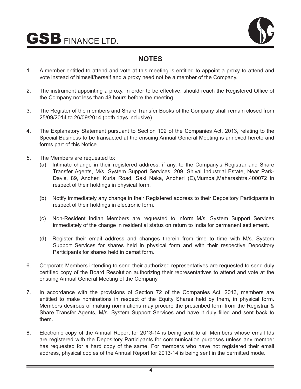### $\mathbf{GSB}$  FINANCE LTD.



### **NOTES**

- 1. A member entitled to attend and vote at this meeting is entitled to appoint a proxy to attend and vote instead of himself/herself and a proxy need not be a member of the Company.
- 2. The instrument appointing a proxy, in order to be effective, should reach the Registered Office of the Company not less than 48 hours before the meeting.
- 3. The Register of the members and Share Transfer Books of the Company shall remain closed from 25/09/2014 to 26/09/2014 (both days inclusive)
- 4. The Explanatory Statement pursuant to Section 102 of the Companies Act, 2013, relating to the Special Business to be transacted at the ensuing Annual General Meeting is annexed hereto and forms part of this Notice.
- 5. The Members are requested to:
	- (a) Intimate change in their registered address, if any, to the Company's Registrar and Share Transfer Agents, M/s. System Support Services, 209, Shivai Industrial Estate, Near Park-Davis, 89, Andheri Kurla Road, Saki Naka, Andheri (E),Mumbai,Maharashtra,400072 in respect of their holdings in physical form.
	- (b) Notify immediately any change in their Registered address to their Depository Participants in respect of their holdings in electronic form.
	- (c) Non-Resident Indian Members are requested to inform M/s. System Support Services immediately of the change in residential status on return to India for permanent settlement.
	- (d) Register their email address and changes therein from time to time with M/s. System Support Services for shares held in physical form and with their respective Depository Participants for shares held in demat form.
- 6. Corporate Members intending to send their authorized representatives are requested to send duly certified copy of the Board Resolution authorizing their representatives to attend and vote at the ensuing Annual General Meeting of the Company.
- 7. In accordance with the provisions of Section 72 of the Companies Act, 2013, members are entitled to make nominations in respect of the Equity Shares held by them, in physical form. Members desirous of making nominations may procure the prescribed form from the Registrar & Share Transfer Agents, M/s. System Support Services and have it duly filled and sent back to them.
- 8. Electronic copy of the Annual Report for 2013-14 is being sent to all Members whose email Ids are registered with the Depository Participants for communication purposes unless any member has requested for a hard copy of the same. For members who have not registered their email address, physical copies of the Annual Report for 2013-14 is being sent in the permitted mode.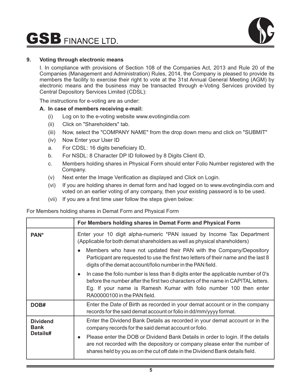

### **9. Voting through electronic means**

I. In compliance with provisions of Section 108 of the Companies Act, 2013 and Rule 20 of the Companies (Management and Administration) Rules, 2014, the Company is pleased to provide its members the facility to exercise their right to vote at the 31st Annual General Meeting (AGM) by electronic means and the business may be transacted through e-Voting Services provided by Central Depository Services Limited (CDSL):

The instructions for e-voting are as under:

### **A. In case of members receiving e-mail:**

- (i) Log on to the e-voting website www.evotingindia.com
- (ii) Click on "Shareholders" tab.
- (iii) Now, select the "COMPANY NAME" from the drop down menu and click on "SUBMIT"
- (iv) Now Enter your User ID
- a. For CDSL: 16 digits beneficiary ID,
- b. For NSDL: 8 Character DP ID followed by 8 Digits Client ID,
- c. Members holding shares in Physical Form should enter Folio Number registered with the Company.
- (v) Next enter the Image Verification as displayed and Click on Login.
- (vi) If you are holding shares in demat form and had logged on to www.evotingindia.com and voted on an earlier voting of any company, then your existing password is to be used.
- (vii) If you are a first time user follow the steps given below:

For Members holding shares in Demat Form and Physical Form

|                                | For Members holding shares in Demat Form and Physical Form                                                                                                                                                                                                                 |  |  |
|--------------------------------|----------------------------------------------------------------------------------------------------------------------------------------------------------------------------------------------------------------------------------------------------------------------------|--|--|
| <b>PAN</b> *                   | Enter your 10 digit alpha-numeric *PAN issued by Income Tax Department<br>(Applicable for both demat shareholders as well as physical shareholders)                                                                                                                        |  |  |
|                                | Members who have not updated their PAN with the Company/Depository<br>Participant are requested to use the first two letters of their name and the last 8<br>digits of the demat account/folio number in the PAN field.                                                    |  |  |
|                                | In case the folio number is less than 8 digits enter the applicable number of 0's<br>before the number after the first two characters of the name in CAPITAL letters.<br>Eg. If your name is Ramesh Kumar with folio number 100 then enter<br>RA00000100 in the PAN field. |  |  |
| DOB#                           | Enter the Date of Birth as recorded in your demat account or in the company<br>records for the said demat account or folio in dd/mm/yyyy format.                                                                                                                           |  |  |
| <b>Dividend</b><br><b>Bank</b> | Enter the Dividend Bank Details as recorded in your demat account or in the<br>company records for the said demat account or folio.                                                                                                                                        |  |  |
| Details#                       | Please enter the DOB or Dividend Bank Details in order to login. If the details<br>are not recorded with the depository or company please enter the number of<br>shares held by you as on the cut off date in the Dividend Bank details field.                             |  |  |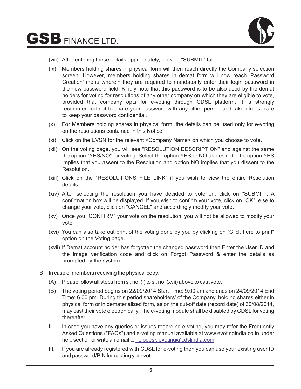

- (viii) After entering these details appropriately, click on "SUBMIT" tab.
- (ix) Members holding shares in physical form will then reach directly the Company selection screen. However, members holding shares in demat form will now reach 'Password Creation' menu wherein they are required to mandatorily enter their login password in the new password field. Kindly note that this password is to be also used by the demat holders for voting for resolutions of any other company on which they are eligible to vote, provided that company opts for e-voting through CDSL platform. It is strongly recommended not to share your password with any other person and take utmost care to keep your password confidential.
- (x) For Members holding shares in physical form, the details can be used only for e-voting on the resolutions contained in this Notice.
- (xi) Click on the EVSN for the relevant <Company Name> on which you choose to vote.
- (xii) On the voting page, you will see "RESOLUTION DESCRIPTION" and against the same the option "YES/NO" for voting. Select the option YES or NO as desired. The option YES implies that you assent to the Resolution and option NO implies that you dissent to the Resolution.
- (xiii) Click on the "RESOLUTIONS FILE LINK" if you wish to view the entire Resolution details.
- (xiv) After selecting the resolution you have decided to vote on, click on "SUBMIT". A confirmation box will be displayed. If you wish to confirm your vote, click on "OK", else to change your vote, click on "CANCEL" and accordingly modify your vote.
- (xv) Once you "CONFIRM" your vote on the resolution, you will not be allowed to modify your vote.
- (xvi) You can also take out print of the voting done by you by clicking on "Click here to print" option on the Voting page.
- (xvii) If Demat account holder has forgotten the changed password then Enter the User ID and the image verification code and click on Forgot Password & enter the details as prompted by the system.
- B. In case of members receiving the physical copy:
	- (A) Please follow all steps from sl. no. (i) to sl. no. (xvii) above to cast vote.
	- (B) The voting period begins on 22/09/2014 Start Time: 9.00 am and ends on 24/09/2014 End Time: 6.00 pm. During this period shareholders' of the Company, holding shares either in physical form or in dematerialized form, as on the cut-off date (record date) of 30/08/2014, may cast their vote electronically. The e-voting module shall be disabled by CDSL for voting thereafter.
	- II. In case you have any queries or issues regarding e-voting, you may refer the Frequently Asked Questions ("FAQs") and e-voting manual available at www.evotingindia.co.in under help section or write an email to helpdesk.evoting@cdslindia.com
	- III. If you are already registered with CDSL for e-voting then you can use your existing user ID and password/PIN for casting your vote.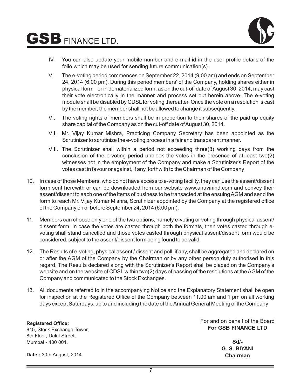

- IV. You can also update your mobile number and e-mail id in the user profile details of the folio which may be used for sending future communication(s).
- V. The e-voting period commences on September 22, 2014 (9:00 am) and ends on September 24, 2014 (6:00 pm). During this period members' of the Company, holding shares either in physical form or in dematerialized form, as on the cut-off date of August 30, 2014, may cast their vote electronically in the manner and process set out herein above. The e-voting module shall be disabled by CDSLfor voting thereafter. Once the vote on a resolution is cast by the member, the member shall not be allowed to change it subsequently.
- VI. The voting rights of members shall be in proportion to their shares of the paid up equity share capital of the Company as on the cut-off date of August 30, 2014.
- VII. Mr. Vijay Kumar Mishra, Practicing Company Secretary has been appointed as the Scrutinizer to scrutinize the e-voting process in a fair and transparent manner.
- VIII. The Scrutinizer shall within a period not exceeding three(3) working days from the conclusion of the e-voting period unblock the votes in the presence of at least two(2) witnesses not in the employment of the Company and make a Scrutinizer's Report of the votes cast in favour or against, if any, forthwith to the Chairman of the Company
- 10. In case of those Members, who do not have access to e-voting facility, they can use the assent/dissent form sent herewith or can be downloaded from our website www.anuvinind.com and convey their assent/dissent to each one of the items of business to be transacted at the ensuing AGM and send the form to reach Mr. Vijay Kumar Mishra, Scrutinizer appointed by the Company at the registered office of the Company on or before September 24, 2014 (6.00 pm).
- 11. Members can choose only one of the two options, namely e-voting or voting through physical assent/ dissent form. In case the votes are casted through both the formats, then votes casted through evoting shall stand cancelled and those votes casted through physical assent/dissent form would be considered, subject to the assent/dissent form being found to be valid.
- 12. The Results of e-voting, physical assent / dissent and poll, if any, shall be aggregated and declared on or after the AGM of the Company by the Chairman or by any other person duly authorised in this regard. The Results declared along with the Scrutinizer's Report shall be placed on the Company's website and on the website of CDSL within two(2) days of passing of the resolutions at the AGM of the Company and communicated to the Stock Exchanges.
- 13. All documents referred to in the accompanying Notice and the Explanatory Statement shall be open for inspection at the Registered Office of the Company between 11.00 am and 1 pm on all working days except Saturdays, up to and including the date of the Annual General Meeting of the Company

**Registered Office:** 815, Stock Exchange Tower, 8th Floor, Dalal Street, Mumbai - 400 001.

For and on behalf of the Board **For GSB FINANCE LTD**

> **Sd/- G. S. BIYANI Chairman**

**Date :** 30th August, 2014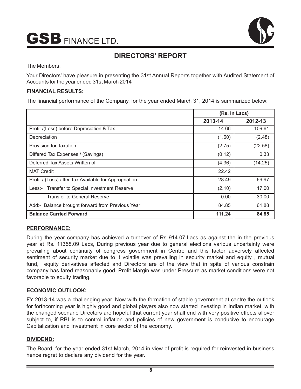### $\mathbf{GSB}$  FINANCE LTD.



### **DIRECTORS' REPORT**

The Members,

Your Directors' have pleasure in presenting the 31st Annual Reports together with Audited Statement of Accounts for the year ended 31st March 2014

### **FINANCIAL RESULTS:**

The financial performance of the Company, for the year ended March 31, 2014 is summarized below:

|                                                         | (Rs. in Lacs) |         |
|---------------------------------------------------------|---------------|---------|
|                                                         | 2013-14       | 2012-13 |
| Profit /(Loss) before Depreciation & Tax                | 14.66         | 109.61  |
| Depreciation                                            | (1.60)        | (2.48)  |
| Provision for Taxation                                  | (2.75)        | (22.58) |
| Differed Tax Expenses / (Savings)                       | (0.12)        | 0.33    |
| Deferred Tax Assets Written off                         | (4.36)        | (14.25) |
| <b>MAT Credit</b>                                       | 22.42         |         |
| Profit / (Loss) after Tax Available for Appropriation   | 28.49         | 69.97   |
| <b>Transfer to Special Investment Reserve</b><br>Less:- | (2.10)        | 17.00   |
| <b>Transfer to General Reserve</b>                      | 0.00          | 30.00   |
| Add:- Balance brought forward from Previous Year        | 84.85         | 61.88   |
| <b>Balance Carried Forward</b>                          | 111.24        | 84.85   |

### **PERFORMANCE:**

During the year company has achieved a turnover of Rs 914.07.Lacs as against the in the previous year at Rs. 11358.09 Lacs, During previous year due to general elections various uncertainty were prevailing about continuity of congress government in Centre and this factor adversely affected sentiment of security market due to it volatile was prevailing in security market and equity , mutual fund, equity derivatives affected and Directors are of the view that in spite of various constrain company has fared reasonably good. Profit Margin was under Pressure as market conditions were not favorable to equity trading.

### **ECONOMIC OUTLOOK:**

FY 2013-14 was a challenging year. Now with the formation of stable government at centre the outlook for forthcoming year is highly good and global players also now started investing in Indian market, with the changed scenario Directors are hopeful that current year shall end with very positive effects allover subject to, if RBI is to control inflation and policies of new government is conducive to encourage Capitalization and Investment in core sector of the economy.

### **DIVIDEND:**

The Board, for the year ended 31st March, 2014 in view of profit is required for reinvested in business hence regret to declare any dividend for the year.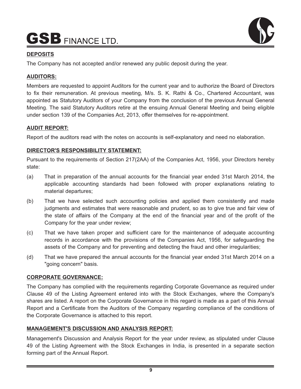

### **DEPOSITS**

The Company has not accepted and/or renewed any public deposit during the year.

### **AUDITORS:**

Members are requested to appoint Auditors for the current year and to authorize the Board of Directors to fix their remuneration. At previous meeting, M/s. S. K. Rathi & Co., Chartered Accountant, was appointed as Statutory Auditors of your Company from the conclusion of the previous Annual General Meeting. The said Statutory Auditors retire at the ensuing Annual General Meeting and being eligible under section 139 of the Companies Act, 2013, offer themselves for re-appointment.

### **AUDIT REPORT:**

Report of the auditors read with the notes on accounts is self-explanatory and need no elaboration.

### **DIRECTOR'S RESPONSIBILITY STATEMENT:**

Pursuant to the requirements of Section 217(2AA) of the Companies Act, 1956, your Directors hereby state:

- (a) That in preparation of the annual accounts for the financial year ended 31st March 2014, the applicable accounting standards had been followed with proper explanations relating to material departures;
- (b) That we have selected such accounting policies and applied them consistently and made judgments and estimates that were reasonable and prudent, so as to give true and fair view of the state of affairs of the Company at the end of the financial year and of the profit of the Company for the year under review;
- (c) That we have taken proper and sufficient care for the maintenance of adequate accounting records in accordance with the provisions of the Companies Act, 1956, for safeguarding the assets of the Company and for preventing and detecting the fraud and other irregularities;
- (d) That we have prepared the annual accounts for the financial year ended 31st March 2014 on a "going concern" basis.

### **CORPORATE GOVERNANCE:**

The Company has complied with the requirements regarding Corporate Governance as required under Clause 49 of the Listing Agreement entered into with the Stock Exchanges, where the Company's shares are listed. A report on the Corporate Governance in this regard is made as a part of this Annual Report and a Certificate from the Auditors of the Company regarding compliance of the conditions of the Corporate Governance is attached to this report.

### **MANAGEMENT'S DISCUSSION AND ANALYSIS REPORT:**

Management's Discussion and Analysis Report for the year under review, as stipulated under Clause 49 of the Listing Agreement with the Stock Exchanges in India, is presented in a separate section forming part of the Annual Report.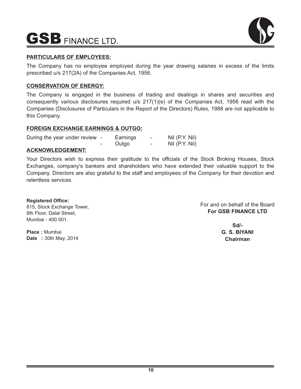

### **PARTICULARS OF EMPLOYEES:**

The Company has no employee employed during the year drawing salaries in excess of the limits prescribed u/s 217(2A) of the Companies Act, 1956.

### **CONSERVATION OF ENERGY:**

The Company is engaged in the business of trading and dealings in shares and securities and consequently various disclosures required u/s 217(1)(e) of the Companies Act, 1956 read with the Companies (Disclosures of Particulars in the Report of the Directors) Rules, 1988 are not applicable to this Company.

### **FOREIGN EXCHANGE EARNINGS & OUTGO:**

| During the year under review - | Earnings | $\,$                     | $Nil$ (P.Y. Nil) |
|--------------------------------|----------|--------------------------|------------------|
|                                | Outgo    | $\overline{\phantom{a}}$ | $Nil$ (P.Y. Nil) |

### **ACKNOWLEDGEMENT:**

Your Directors wish to express their gratitude to the officials of the Stock Broking Houses, Stock Exchanges, company's bankers and shareholders who have extended their valuable support to the Company. Directors are also grateful to the staff and employees of the Company for their devotion and relentless services.

#### **Registered Office:**

815, Stock Exchange Tower, 8th Floor, Dalal Street, Mumbai - 400 001.

For and on behalf of the Board **For GSB FINANCE LTD**

**Place :** Mumbai **Date :** 30th May, 2014

**Sd/- G. S. BIYANI Chairman**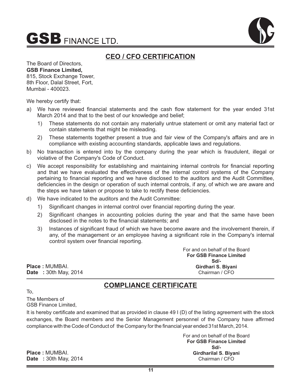



### **CEO / CFO CERTIFICATION**

#### The Board of Directors, **GSB Finance Limited,** 815, Stock Exchange Tower, 8th Floor, Dalal Street, Fort, Mumbai - 400023.

We hereby certify that:

- a) We have reviewed financial statements and the cash flow statement for the year ended 31st March 2014 and that to the best of our knowledge and belief;
	- 1) These statements do not contain any materially untrue statement or omit any material fact or contain statements that might be misleading.
	- 2) These statements together present a true and fair view of the Company's affairs and are in compliance with existing accounting standards, applicable laws and regulations.
- b) No transaction is entered into by the company during the year which is fraudulent, illegal or violative of the Company's Code of Conduct.
- c) We accept responsibility for establishing and maintaining internal controls for financial reporting and that we have evaluated the effectiveness of the internal control systems of the Company pertaining to financial reporting and we have disclosed to the auditors and the Audit Committee, deficiencies in the design or operation of such internal controls, if any, of which we are aware and the steps we have taken or propose to take to rectify these deficiencies.
- d) We have indicated to the auditors and the Audit Committee:
	- 1) Significant changes in internal control over financial reporting during the year.
	- 2) Significant changes in accounting policies during the year and that the same have been disclosed in the notes to the financial statements; and
	- 3) Instances of significant fraud of which we have become aware and the involvement therein, if any, of the management or an employee having a significant role in the Company's internal control system over financial reporting.

**Place :** MUMBAI. **Date :** 30th May, 2014 For and on behalf of the Board **For GSB Finance Limited Sd/- Girdhari S. Biyani** Chairman / CFO

### **COMPLIANCE CERTIFICATE**

To,

The Members of GSB Finance Limited,

It is hereby certificate and examined that as provided in clause 49 I (D) of the listing agreement with the stock exchanges, the Board members and the Senior Management personnel of the Company have affirmed compliance with the Code of Conduct of the Company for the financial year ended 31st March, 2014.

**Place :** MUMBAI. **Date :** 30th May, 2014 For and on behalf of the Board **For GSB Finance Limited Sd/- Girdharilal S. Biyani** Chairman / CFO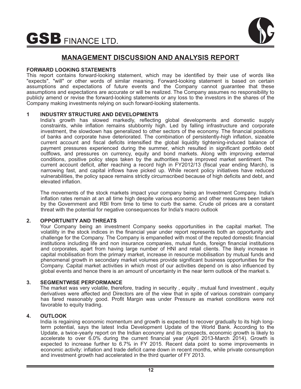

### **MANAGEMENT DISCUSSION AND ANALYSIS REPORT**

#### **FORWARD LOOKING STATEMENTS**

This report contains forward-looking statement, which may be identified by their use of words like "expects", "will" or other words of similar meaning. Forward-looking statement is based on certain assumptions and expectations of future events and the Company cannot guarantee that these assumptions and expectations are accurate or will be realized. The Company assumes no responsibility to publicly amend or revise the forward-looking statements or any loss to the investors in the shares of the Company making investments relying on such forward-looking statements.

### **1 INDUSTRY STRUCTURE AND DEVELOPMENTS**

India's growth has slowed markedly, reflecting global developments and domestic supply constraints, while inflation remains stubbornly high. Led by falling infrastructure and corporate investment, the slowdown has generalized to other sectors of the economy. The financial positions of banks and corporate have deteriorated. The combination of persistently-high inflation, sizeable current account and fiscal deficits intensified the global liquidity tightening-induced balance of payment pressures experienced during the summer, which resulted in significant portfolio debt outflows, and pressures on currency, equity and bond markets. Along with improving external conditions, positive policy steps taken by the authorities have improved market sentiment. The current account deficit, after reaching a record high in FY2012/13 (fiscal year ending March), is narrowing fast, and capital inflows have picked up. While recent policy initiatives have reduced vulnerabilities, the policy space remains strictly circumscribed because of high deficits and debt, and elevated inflation.

The movements of the stock markets impact your company being an Investment Company. India's inflation rates remain at an all time high despite various economic and other measures been taken by the Government and RBI from time to time to curb the same. Crude oil prices are a constant threat with the potential for negative consequences for India's macro outlook

#### **2. OPPORTUNITY AND THREATS**

Your Company being an investment Company seeks opportunities in the capital market. The volatility in the stock indices in the financial year under report represents both an opportunity and challenge for the Company. The Company is empanelled with most of the reputed domestic financial institutions including life and non insurance companies, mutual funds, foreign financial institutions and corporates, apart from having large number of HNI and retail clients. The likely increase in capital mobilisation from the primary market, increase in resource mobilisation by mutual funds and phenomenal growth in secondary market volumes provide significant business opportunities for the Company. Capital market activities in which most of our activities depend on is also influenced by global events and hence there is an amount of uncertainty in the near term outlook of the market s.

### **3. SEGMENTWISE PERFORMANCE**

The market was very volatile, therefore, trading in security , equity , mutual fund investment , equity derivatives were affected and Directors are of the view that in spite of various constrain company has fared reasonably good. Profit Margin was under Pressure as market conditions were not favorable to equity trading.

### **4. OUTLOOK**

India is regaining economic momentum and growth is expected to recover gradually to its high longterm potential, says the latest India Development Update of the World Bank. According to the Update, a twice-yearly report on the Indian economy and its prospects, economic growth is likely to accelerate to over 6.0% during the current financial year (April 2013-March 2014). Growth is expected to increase further to 6.7% in FY 2015. Recent data point to some improvements in economic activity: inflation and trade deficit came down in recent months, while private consumption and investment growth had accelerated in the third quarter of FY 2013.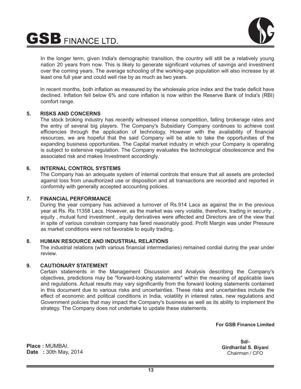



In the longer term, given India's demographic transition, the country will still be a relatively young nation 20 years from now. This is likely to generate significant volumes of savings and investment over the coming years. The average schooling of the working-age population will also increase by at least one full year and could well rise by as much as two years.

In recent months, both inflation as measured by the wholesale price index and the trade deficit have declined. Inflation fell below 6% and core inflation is now within the Reserve Bank of India's (RBI) comfort range.

### **5. RISKS AND CONCERNS**

The stock broking industry has recently witnessed intense competition, falling brokerage rates and the entry of several big players. The Company's Subsidiary Company continues to achieve cost efficiencies through the application of technology. However with the availability of financial resources, we are hopeful that the said Company will be able to take the opportunities of the expanding business opportunities. The Capital market industry in which your Company is operating is subject to extensive regulation. The Company evaluates the technological obsolescence and the associated risk and makes Investment accordingly.

#### **6. INTERNAL CONTROL SYSTEMS**

The Company has an adequate system of internal controls that ensure that all assets are protected against loss from unauthorized use or disposition and all transactions are recorded and reported in conformity with generally accepted accounting policies.

#### **7. FINANCIAL PERFORMANCE**

During the year company has achieved a turnover of Rs.914 Lacs as against the in the previous year at Rs. Rs.11358 Lacs. However, as the market was very volatile, therefore, trading in security , equity , mutual fund investment , equity derivatives were affected and Directors are of the view that in spite of various constrain company has fared reasonably good. Profit Margin was under Pressure as market conditions were not favorable to equity trading.

#### **8. HUMAN RESOURCE AND INDUSTRIAL RELATIONS**

The industrial relations (with various financial intermediaries) remained cordial during the year under review.

#### **9. CAUTIONARY STATEMENT**

Certain statements in the Management Discussion and Analysis describing the Company's objectives, predictions may be "forward-looking statements" within the meaning of applicable laws and regulations. Actual results may vary significantly from the forward looking statements contained in this document due to various risks and uncertainties. These risks and uncertainties include the effect of economic and political conditions in India, volatility in interest rates, new regulations and Government policies that may impact the Company's business as well as its ability to implement the strategy. The Company does not undertake to update these statements.

**For GSB Finance Limited**

**Place :** MUMBAI. **Date :** 30th May, 2014

**Sd/- Girdharilal S. Biyani** Chairman / CFO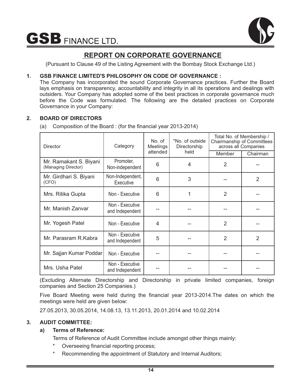

### **REPORT ON CORPORATE GOVERNANCE**

(Pursuant to Clause 49 of the Listing Agreement with the Bombay Stock Exchange Ltd.)

### **1. GSB FINANCE LIMITED'S PHILOSOPHY ON CODE OF GOVERNANCE :**

The Company has incorporated the sound Corporate Governance practices. Further the Board lays emphasis on transparency, accountability and integrity in all its operations and dealings with outsiders. Your Company has adopted some of the best practices in corporate governance much before the Code was formulated. The following are the detailed practices on Corporate Governance in your Company:

### **2. BOARD OF DIRECTORS**

(a) Composition of the Board : (for the financial year 2013-2014)

| <b>Director</b>                               | Category                           | No. of<br>Meetings | *No. of outside<br>Directorship | Total No. of Membership /<br>Chairmanship of Committees<br>across all Companies |          |
|-----------------------------------------------|------------------------------------|--------------------|---------------------------------|---------------------------------------------------------------------------------|----------|
|                                               |                                    | attended           | held                            | Member                                                                          | Chairman |
| Mr. Ramakant S. Biyani<br>(Managing Director) | Promoter,<br>Non-independent       | 6                  | 4                               | $\overline{2}$                                                                  |          |
| Mr. Girdhari S. Biyani<br>(CFO)               | Non-Independent,<br>Executive      | 6                  | 3                               |                                                                                 | 2        |
| Mrs. Ritika Gupta                             | Non - Executive                    | 6                  | 1                               | $\overline{2}$                                                                  |          |
| Mr. Manish Zanvar                             | Non - Executive<br>and Independent |                    |                                 |                                                                                 |          |
| Mr. Yogesh Patel                              | Non - Executive                    | 4                  |                                 | $\overline{2}$                                                                  |          |
| Mr. Parasram R.Kabra                          | Non - Executive<br>and Independent | 5                  |                                 | $\overline{2}$                                                                  | 2        |
| Mr. Sajjan Kumar Poddar                       | Non - Executive                    |                    |                                 |                                                                                 |          |
| Mrs. Usha Patel                               | Non - Executive<br>and Independent |                    |                                 |                                                                                 |          |

(Excluding Alternate Directorship and Directorship in private limited companies, foreign companies and Section 25 Companies.)

Five Board Meeting were held during the financial year 2013-2014.The dates on which the meetings were held are given below:

27.05.2013, 30.05.2014, 14.08.13, 13.11.2013, 20.01.2014 and 10.02.2014

### **3. AUDIT COMMITTEE:**

### **a) Terms of Reference:**

Terms of Reference of Audit Committee include amongst other things mainly:

- \* Overseeing financial reporting process;
- Recommending the appointment of Statutory and Internal Auditors;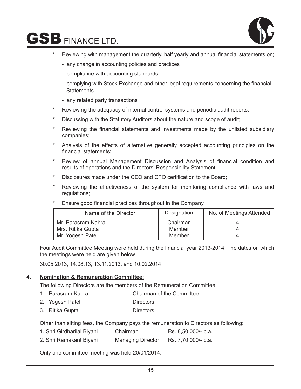### $\mathbf{GSB}$  FINANCE LTD.



- Reviewing with management the quarterly, half yearly and annual financial statements on;
	- any change in accounting policies and practices
	- compliance with accounting standards
	- complying with Stock Exchange and other legal requirements concerning the financial Statements.
	- any related party transactions
- Reviewing the adequacy of internal control systems and periodic audit reports;
- \* Discussing with the Statutory Auditors about the nature and scope of audit;
- Reviewing the financial statements and investments made by the unlisted subsidiary companies;
- Analysis of the effects of alternative generally accepted accounting principles on the financial statements;
- \* Review of annual Management Discussion and Analysis of financial condition and results of operations and the Directors' Responsibility Statement;
- Disclosures made under the CEO and CFO certification to the Board;
- \* Reviewing the effectiveness of the system for monitoring compliance with laws and regulations;
- \* Ensure good financial practices throughout in the Company.

| Name of the Director                    | Designation        | No. of Meetings Attended |
|-----------------------------------------|--------------------|--------------------------|
| Mr. Parasram Kabra<br>Mrs. Ritika Gupta | Chairman<br>Member |                          |
| Mr. Yogesh Patel                        | Member             |                          |

Four Audit Committee Meeting were held during the financial year 2013-2014. The dates on which the meetings were held are given below

30.05.2013, 14.08.13, 13.11.2013, and 10.02.2014

### **4. Nomination & Remuneration Committee:**

The following Directors are the members of the Remuneration Committee:

- 1. Parasram Kabra Chairman of the Committee
- 2. Yogesh Patel Directors
- 3. Ritika Gupta **Directors**

Other than sitting fees, the Company pays the remuneration to Directors as following:

- 1. Shri Girdharilal Biyani Chairman Rs. 8,50,000/- p.a.
- 2. Shri Ramakant Biyani Managing Director Rs. 7,70,000/- p.a.

Only one committee meeting was held 20/01/2014.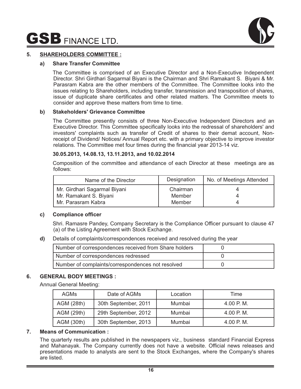

### **5. SHAREHOLDERS COMMITTEE :**

#### **a) Share Transfer Committee**

The Committee is comprised of an Executive Director and a Non-Executive Independent Director. Shri Girdhari Sagarmal Biyani is the Chairman and Shri Ramakant S. Biyani & Mr. Parasram Kabra are the other members of the Committee. The Committee looks into the issues relating to Shareholders, including transfer, transmission and transposition of shares, issue of duplicate share certificates and other related matters. The Committee meets to consider and approve these matters from time to time.

#### **b) Stakeholders' Grievance Committee**

The Committee presently consists of three Non-Executive Independent Directors and an Executive Director. This Committee specifically looks into the redressal of shareholders' and investors' complaints such as transfer of Credit of shares to their demat account, Nonreceipt of Dividend/ Notices/ Annual Report etc. with a primary objective to improve investor relations. The Committee met four times during the financial year 2013-14 viz.

#### **30.05.2013, 14.08.13, 13.11.2013, and 10.02.2014**

Composition of the committee and attendance of each Director at these meetings are as follows:

| Name of the Director                                                         | Designation                  | No. of Meetings Attended |
|------------------------------------------------------------------------------|------------------------------|--------------------------|
| Mr. Girdhari Sagarmal Biyani<br>Mr. Ramakant S. Biyani<br>Mr. Parasram Kabra | Chairman<br>Member<br>Member |                          |

### **c) Compliance officer**

Shri. Ramasre Pandey, Company Secretary is the Compliance Officer pursuant to clause 47 (a) of the Listing Agreement with Stock Exchange.

**d)** Details of complaints/correspondences received and resolved during the year

| Number of correspondences received from Share holders |  |
|-------------------------------------------------------|--|
| Number of correspondences redressed                   |  |
| Number of complaints/correspondences not resolved     |  |

### **6. GENERAL BODY MEETINGS :**

Annual General Meeting:

| <b>AGMs</b> | Date of AGMs         | Location | Time      |
|-------------|----------------------|----------|-----------|
| AGM (28th)  | 30th September, 2011 | Mumbai   | 4.00 P.M. |
| AGM (29th)  | 29th September, 2012 | Mumbai   | 4.00 P.M. |
| AGM (30th)  | 30th September, 2013 | Mumbai   | 4.00 P.M. |

### **7. Means of Communication :**

The quarterly results are published in the newspapers viz., business standard Financial Express and Mahanayak. The Company currently does not have a website. Official news releases and presentations made to analysts are sent to the Stock Exchanges, where the Company's shares are listed.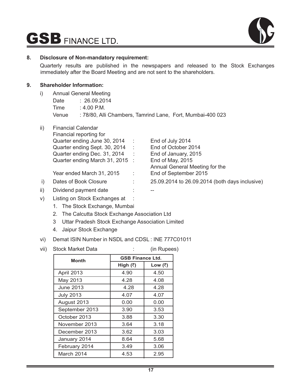

### **8. Disclosure of Non-mandatory requirement:**

Quarterly results are published in the newspapers and released to the Stock Exchanges immediately after the Board Meeting and are not sent to the shareholders.

### **9. Shareholder Information:**

- i) Annual General Meeting Date : 26.09.2014 Time : 4.00 P.M. Venue : 78/80, Alli Chambers, Tamrind Lane, Fort, Mumbai-400 023
- ii) Financial Calendar

| Financial reporting for         |             |                                                |
|---------------------------------|-------------|------------------------------------------------|
| Quarter ending June 30, 2014    | $\sim 10$   | End of July 2014                               |
| Quarter ending Sept. 30, 2014   | $\sim 100$  | End of October 2014                            |
| Quarter ending Dec. 31, 2014    | $\sim 1000$ | End of January, 2015                           |
| Quarter ending March 31, 2015 : |             | End of May, 2015                               |
|                                 |             | Annual General Meeting for the                 |
| Year ended March 31, 2015       | $\sim 100$  | End of September 2015                          |
| Dates of Book Closure           |             | 25.09.2014 to 26.09.2014 (both days inclusive) |

- ii) Dividend payment date
- v) Listing on Stock Exchanges at :
	- 1. The Stock Exchange, Mumbai
	- 2. The Calcutta Stock Exchange Association Ltd
	- 3 Uttar Pradesh Stock Exchange Association Limited
	- 4. Jaipur Stock Exchange

### vi) Demat ISIN Number in NSDL and CDSL : INE 777C01011

vii) Stock Market Data : (in Rupees)

| <b>Month</b>     | <b>GSB Finance Ltd.</b> |         |  |
|------------------|-------------------------|---------|--|
|                  | High $(\bar{z})$        | Low (₹) |  |
| April 2013       | 4.90                    | 4.50    |  |
| May 2013         | 4.28                    | 4.08    |  |
| <b>June 2013</b> | 4.28                    | 4.28    |  |
| <b>July 2013</b> | 4.07                    | 4.07    |  |
| August 2013      | 0.00                    | 0.00    |  |
| September 2013   | 3.90                    | 3.53    |  |
| October 2013     | 3.88                    | 3.30    |  |
| November 2013    | 3.64                    | 3.18    |  |
| December 2013    | 3.62                    | 3.03    |  |
| January 2014     | 8.64                    | 5.68    |  |
| February 2014    | 3.49                    | 3.06    |  |
| March 2014       | 4.53                    | 2.95    |  |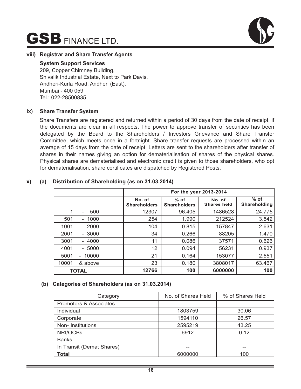

### **viii) Registrar and Share Transfer Agents**

#### **System Support Services**

209, Copper Chimney Building, Shivalik Industrial Estate, Next to Park Davis, Andheri-Kurla Road, Andheri (East), Mumbai - 400 059 Tel.: 022-28500835

### **ix) Share Transfer System**

Share Transfers are registered and returned within a period of 30 days from the date of receipt, if the documents are clear in all respects. The power to approve transfer of securities has been delegated by the Board to the Shareholders / Investors Grievance and Share Transfer Committee, which meets once in a fortnight. Share transfer requests are processed within an average of 15 days from the date of receipt. Letters are sent to the shareholders after transfer of shares in their names giving an option for dematerialisation of shares of the physical shares. Physical shares are dematerialised and electronic credit is given to those shareholders, who opt for dematerialisation, share certificates are dispatched by Registered Posts.

### **x) (a) Distribution of Shareholding (as on 31.03.2014)**

|                                           |                               |                               | For the year 2013-2014       |                        |
|-------------------------------------------|-------------------------------|-------------------------------|------------------------------|------------------------|
|                                           | No. of<br><b>Shareholders</b> | $%$ of<br><b>Shareholders</b> | No. of<br><b>Shares held</b> | $%$ of<br>Shareholding |
| 500                                       | 12307                         | 96.405                        | 1486528                      | 24.775                 |
| 501<br>$-1000$                            | 254                           | 1.990                         | 212524                       | 3.542                  |
| 1001<br>$-2000$                           | 104                           | 0.815                         | 157847                       | 2.631                  |
| 2001<br>$-3000$                           | 34                            | 0.266                         | 88205                        | 1.470                  |
| 3001<br>$-4000$                           | 11                            | 0.086                         | 37571                        | 0.626                  |
| 4001<br>$-5000$                           | 12                            | 0.094                         | 56231                        | 0.937                  |
| 5001<br>10000<br>$\overline{\phantom{0}}$ | 21                            | 0.164                         | 153077                       | 2.551                  |
| 10001<br>& above                          | 23                            | 0.180                         | 3808017                      | 63.467                 |
| <b>TOTAL</b>                              | 12766                         | 100                           | 6000000                      | 100                    |

### **(b) Categories of Shareholders (as on 31.03.2014)**

| Category                  | No. of Shares Held | % of Shares Held |
|---------------------------|--------------------|------------------|
| Promoters & Associates    |                    |                  |
| Individual                | 1803759            | 30.06            |
| Corporate                 | 1594110            | 26.57            |
| Non-Institutions          | 2595219            | 43.25            |
| NRI/OCBs                  | 6912               | 0.12             |
| <b>Banks</b>              | --                 |                  |
| In Transit (Demat Shares) |                    |                  |
| <b>Total</b>              | 6000000            | 100              |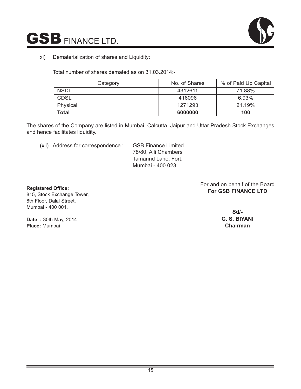

### xi) Dematerialization of shares and Liquidity:

Total number of shares demated as on 31.03.2014:-

| Category    | No. of Shares | % of Paid Up Capital |
|-------------|---------------|----------------------|
| <b>NSDL</b> | 4312611       | 71.88%               |
| <b>CDSL</b> | 416096        | 6.93%                |
| Physical    | 1271293       | 21.19%               |
| Total       | 6000000       | 100                  |

The shares of the Company are listed in Mumbai, Calcutta, Jaipur and Uttar Pradesh Stock Exchanges and hence facilitates liquidity.

(xii) Address for correspondence : GSB Finance Limited

78/80, Alli Chambers Tamarind Lane, Fort, Mumbai - 400 023.

### **Registered Office:**

815, Stock Exchange Tower, 8th Floor, Dalal Street, Mumbai - 400 001.

**Sd/- G. S. BIYANI Chairman**

For and on behalf of the Board **For GSB FINANCE LTD**

**Date :** 30th May, 2014 **Place:** Mumbai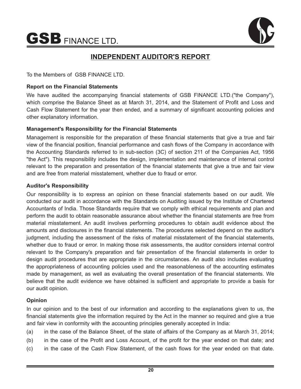

### **INDEPENDENT AUDITOR'S REPORT**

To the Members of GSB FINANCE LTD.

### **Report on the Financial Statements**

We have audited the accompanying financial statements of GSB FINANCE LTD.("the Company"), which comprise the Balance Sheet as at March 31, 2014, and the Statement of Profit and Loss and Cash Flow Statement for the year then ended, and a summary of significant accounting policies and other explanatory information.

### **Management's Responsibility for the Financial Statements**

Management is responsible for the preparation of these financial statements that give a true and fair view of the financial position, financial performance and cash flows of the Company in accordance with the Accounting Standards referred to in sub-section (3C) of section 211 of the Companies Act, 1956 "the Act"). This responsibility includes the design, implementation and maintenance of internal control relevant to the preparation and presentation of the financial statements that give a true and fair view and are free from material misstatement, whether due to fraud or error.

### **Auditor's Responsibility**

Our responsibility is to express an opinion on these financial statements based on our audit. We conducted our audit in accordance with the Standards on Auditing issued by the Institute of Chartered Accountants of India. Those Standards require that we comply with ethical requirements and plan and perform the audit to obtain reasonable assurance about whether the financial statements are free from material misstatement. An audit involves performing procedures to obtain audit evidence about the amounts and disclosures in the financial statements. The procedures selected depend on the auditor's judgment, including the assessment of the risks of material misstatement of the financial statements, whether due to fraud or error. In making those risk assessments, the auditor considers internal control relevant to the Company's preparation and fair presentation of the financial statements in order to design audit procedures that are appropriate in the circumstances. An audit also includes evaluating the appropriateness of accounting policies used and the reasonableness of the accounting estimates made by management, as well as evaluating the overall presentation of the financial statements. We believe that the audit evidence we have obtained is sufficient and appropriate to provide a basis for our audit opinion.

### **Opinion**

In our opinion and to the best of our information and according to the explanations given to us, the financial statements give the information required by the Act in the manner so required and give a true and fair view in conformity with the accounting principles generally accepted in India:

- (a) in the case of the Balance Sheet, of the state of affairs of the Company as at March 31, 2014;
- (b) in the case of the Profit and Loss Account, of the profit for the year ended on that date; and
- (c) in the case of the Cash Flow Statement, of the cash flows for the year ended on that date.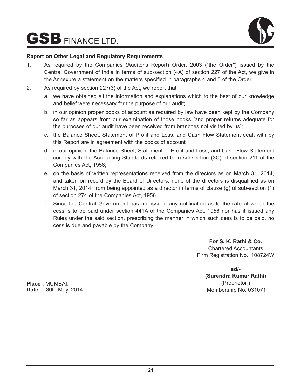

### **Report on Other Legal and Regulatory Requirements**

- 1. As required by the Companies (Auditor's Report) Order, 2003 ("the Order") issued by the Central Government of India in terms of sub-section (4A) of section 227 of the Act, we give in the Annexure a statement on the matters specified in paragraphs 4 and 5 of the Order.
- 2. As required by section 227(3) of the Act, we report that:
	- a. we have obtained all the information and explanations which to the best of our knowledge and belief were necessary for the purpose of our audit;
	- b. in our opinion proper books of account as required by law have been kept by the Company so far as appears from our examination of those books [and proper returns adequate for the purposes of our audit have been received from branches not visited by us];
	- c. the Balance Sheet, Statement of Profit and Loss, and Cash Flow Statement dealt with by this Report are in agreement with the books of account ;
	- d. in our opinion, the Balance Sheet, Statement of Profit and Loss, and Cash Flow Statement comply with the Accounting Standards referred to in subsection (3C) of section 211 of the Companies Act, 1956;
	- e. on the basis of written representations received from the directors as on March 31, 2014, and taken on record by the Board of Directors, none of the directors is disqualified as on March 31, 2014, from being appointed as a director in terms of clause (g) of sub-section (1) of section 274 of the Companies Act, 1956.
	- f. Since the Central Government has not issued any notification as to the rate at which the cess is to be paid under section 441A of the Companies Act, 1956 nor has it issued any Rules under the said section, prescribing the manner in which such cess is to be paid, no cess is due and payable by the Company.

**For S. K. Rathi & Co.** Chartered Accountants Firm Registration No.: 108724W

> **sd/- (Surendra Kumar Rathi)** (Proprietor ) Membership No. 031071

**Place :** MUMBAI. **Date** : 30th May, 2014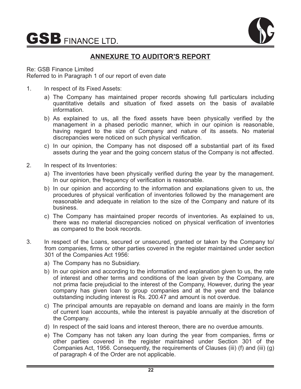

### **ANNEXURE TO AUDITOR'S REPORT**

Re: GSB Finance Limited Referred to in Paragraph 1 of our report of even date

- 1. In respect of its Fixed Assets:
	- a) The Company has maintained proper records showing full particulars including quantitative details and situation of fixed assets on the basis of available information.
	- b) As explained to us, all the fixed assets have been physically verified by the management in a phased periodic manner, which in our opinion is reasonable, having regard to the size of Company and nature of its assets. No material discrepancies were noticed on such physical verification.
	- c) In our opinion, the Company has not disposed off a substantial part of its fixed assets during the year and the going concern status of the Company is not affected.
- 2. In respect of its Inventories:
	- a) The inventories have been physically verified during the year by the management. In our opinion, the frequency of verification is reasonable.
	- b) In our opinion and according to the information and explanations given to us, the procedures of physical verification of inventories followed by the management are reasonable and adequate in relation to the size of the Company and nature of its business.
	- c) The Company has maintained proper records of inventories. As explained to us, there was no material discrepancies noticed on physical verification of inventories as compared to the book records.
- 3. In respect of the Loans, secured or unsecured, granted or taken by the Company to/ from companies, firms or other parties covered in the register maintained under section 301 of the Companies Act 1956:
	- a) The Company has no Subsidiary.
	- b) In our opinion and according to the information and explanation given to us, the rate of interest and other terms and conditions of the loan given by the Company, are not prima facie prejudicial to the interest of the Company, However, during the year company has given loan to group companies and at the year end the balance outstanding including interest is Rs. 200.47 and amount is not overdue.
	- c) The principal amounts are repayable on demand and loans are mainly in the form of current loan accounts, while the interest is payable annually at the discretion of the Company.
	- d) In respect of the said loans and interest thereon, there are no overdue amounts.
	- e) The Company has not taken any loan during the year from companies, firms or other parties covered in the register maintained under Section 301 of the Companies Act, 1956. Consequently, the requirements of Clauses (iii) (f) and (iii) (g) of paragraph 4 of the Order are not applicable.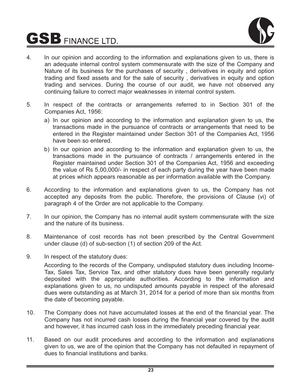

- 4. In our opinion and according to the information and explanations given to us, there is an adequate internal control system commensurate with the size of the Company and Nature of its business for the purchases of security , derivatives in equity and option trading and fixed assets and for the sale of security , derivatives in equity and option trading and services. During the course of our audit, we have not observed any continuing failure to correct major weaknesses in internal control system.
- 5. In respect of the contracts or arrangements referred to in Section 301 of the Companies Act, 1956:
	- a) In our opinion and according to the information and explanation given to us, the transactions made in the pursuance of contracts or arrangements that need to be entered in the Register maintained under Section 301 of the Companies Act, 1956 have been so entered.
	- b) In our opinion and according to the information and explanation given to us, the transactions made in the pursuance of contracts / arrangements entered in the Register maintained under Section 301 of the Companies Act, 1956 and exceeding the value of Rs 5,00,000/- in respect of each party during the year have been made at prices which appears reasonable as per information available with the Company.
- 6. According to the information and explanations given to us, the Company has not accepted any deposits from the public. Therefore, the provisions of Clause (vi) of paragraph 4 of the Order are not applicable to the Company.
- 7. In our opinion, the Company has no internal audit system commensurate with the size and the nature of its business.
- 8. Maintenance of cost records has not been prescribed by the Central Government under clause (d) of sub-section (1) of section 209 of the Act.
- 9. In respect of the statutory dues:

According to the records of the Company, undisputed statutory dues including Income-Tax, Sales Tax, Service Tax, and other statutory dues have been generally regularly deposited with the appropriate authorities. According to the information and explanations given to us, no undisputed amounts payable in respect of the aforesaid dues were outstanding as at March 31, 2014 for a period of more than six months from the date of becoming payable.

- 10. The Company does not have accumulated losses at the end of the financial year. The Company has not incurred cash losses during the financial year covered by the audit and however, it has incurred cash loss in the immediately preceding financial year.
- 11. Based on our audit procedures and according to the information and explanations given to us, we are of the opinion that the Company has not defaulted in repayment of dues to financial institutions and banks.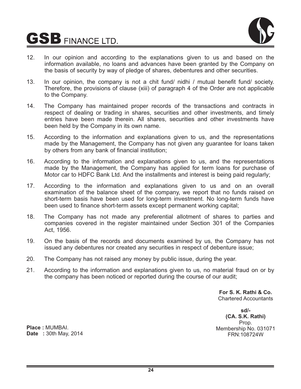

- 12. In our opinion and according to the explanations given to us and based on the information available, no loans and advances have been granted by the Company on the basis of security by way of pledge of shares, debentures and other securities.
- 13. In our opinion, the company is not a chit fund/ nidhi / mutual benefit fund/ society. Therefore, the provisions of clause (xiii) of paragraph 4 of the Order are not applicable to the Company.
- 14. The Company has maintained proper records of the transactions and contracts in respect of dealing or trading in shares, securities and other investments, and timely entries have been made therein. All shares, securities and other investments have been held by the Company in its own name.
- 15. According to the information and explanations given to us, and the representations made by the Management, the Company has not given any guarantee for loans taken by others from any bank of financial institution;
- 16. According to the information and explanations given to us, and the representations made by the Management, the Company has applied for term loans for purchase of Motor car to HDFC Bank Ltd. And the installments and interest is being paid regularly;
- 17. According to the information and explanations given to us and on an overall examination of the balance sheet of the company, we report that no funds raised on short-term basis have been used for long-term investment. No long-term funds have been used to finance short-term assets except permanent working capital;
- 18. The Company has not made any preferential allotment of shares to parties and companies covered in the register maintained under Section 301 of the Companies Act, 1956.
- 19. On the basis of the records and documents examined by us, the Company has not issued any debentures nor created any securities in respect of debenture issue;
- 20. The Company has not raised any money by public issue, during the year.
- 21. According to the information and explanations given to us, no material fraud on or by the company has been noticed or reported during the course of our audit;

**For S. K. Rathi & Co.** Chartered Accountants

**sd/- (CA. S.K. Rathi)** Prop. Membership No. 031071 FRN:108724W

**Place :** MUMBAI. **Date** : 30th May, 2014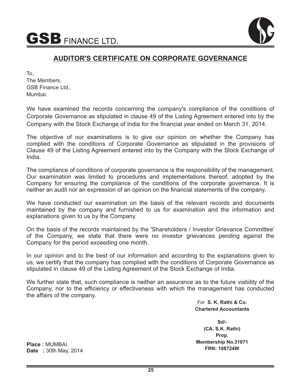

### **AUDITOR'S CERTIFICATE ON CORPORATE GOVERNANCE**

To, The Members, GSB Finance Ltd., Mumbai.

We have examined the records concerning the company's compliance of the conditions of Corporate Governance as stipulated in clause 49 of the Listing Agreement entered into by the Company with the Stock Exchange of India for the financial year ended on March 31, 2014.

The objective of our examinations is to give our opinion on whether the Company has complied with the conditions of Corporate Governance as stipulated in the provisions of Clause 49 of the Listing Agreement entered into by the Company with the Stock Exchange of India.

The compliance of conditions of corporate governance is the responsibility of the management. Our examination was limited to procedures and implementations thereof, adopted by the Company for ensuring the compliance of the conditions of the corporate governance. It is neither an audit nor an expression of an opinion on the financial statements of the company.

We have conducted our examination on the basis of the relevant records and documents maintained by the company and furnished to us for examination and the information and explanations given to us by the Company.

On the basis of the records maintained by the 'Shareholders / Investor Grievance Committee' of the Company, we state that there were no investor grievances pending against the Company for the period exceeding one month.

In our opinion and to the best of our information and according to the explanations given to us, we certify that the company has complied with the conditions of Corporate Governance as stipulated in clause 49 of the Listing Agreement of the Stock Exchange of India.

We further state that, such compliance is neither an assurance as to the future viability of the Company, nor to the efficiency or effectiveness with which the management has conducted the affairs of the company.

> For **S. K. Rathi & Co. Chartered Accountants**

**Sd/- (CA. S.K. Rathi) Prop. Membership No.31071 FRN: 108724W**

**Place :** MUMBAI. **Date :** 30th May, 2014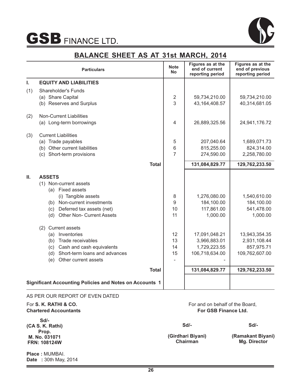



### **BALANCE SHEET AS AT 31st MARCH, 2014**

|     | <b>Particulars</b>                                             | <b>Note</b><br><b>No</b> | Figures as at the<br>end of current<br>reporting period | Figures as at the<br>end of previous<br>reporting period |
|-----|----------------------------------------------------------------|--------------------------|---------------------------------------------------------|----------------------------------------------------------|
| L.  | <b>EQUITY AND LIABILITIES</b>                                  |                          |                                                         |                                                          |
| (1) | <b>Shareholder's Funds</b>                                     |                          |                                                         |                                                          |
|     | (a) Share Capital                                              | $\overline{c}$           | 59,734,210.00                                           | 59,734,210.00                                            |
|     | (b) Reserves and Surplus                                       | 3                        | 43, 164, 408. 57                                        | 40,314,681.05                                            |
| (2) | <b>Non-Current Liabilities</b>                                 |                          |                                                         |                                                          |
|     | (a) Long-term borrowings                                       | $\overline{4}$           | 26,889,325.56                                           | 24,941,176.72                                            |
| (3) | <b>Current Liabilities</b>                                     |                          |                                                         |                                                          |
|     | (a) Trade payables                                             | 5                        | 207,040.64                                              | 1,689,071.73                                             |
|     | (b) Other current liabilities<br>(c) Short-term provisions     | 6<br>$\overline{7}$      | 815,255.00<br>274,590.00                                | 824,314.00<br>2,258,780.00                               |
|     |                                                                |                          |                                                         |                                                          |
|     | <b>Total</b>                                                   |                          | 131,084,829.77                                          | 129,762,233.50                                           |
| Ш.  | <b>ASSETS</b>                                                  |                          |                                                         |                                                          |
|     | (1) Non-current assets                                         |                          |                                                         |                                                          |
|     | (a) Fixed assets                                               |                          |                                                         |                                                          |
|     | (i) Tangible assets                                            | 8                        | 1,276,080.00                                            | 1,540,610.00                                             |
|     | Non-current investments<br>(b)                                 | 9                        | 184,100.00                                              | 184,100.00                                               |
|     | Deferred tax assets (net)<br>(c)                               | 10                       | 117,861.00                                              | 541,478.00                                               |
|     | <b>Other Non- Current Assets</b><br>(d)                        | 11                       | 1,000.00                                                | 1,000.00                                                 |
|     | (2) Current assets                                             |                          |                                                         |                                                          |
|     | Inventories<br>(a)                                             | 12                       | 17,091,048.21                                           | 13,943,354.35                                            |
|     | Trade receivables<br>(b)                                       | 13                       | 3,966,883.01                                            | 2,931,108.44                                             |
|     | (c) Cash and cash equivalents                                  | 14                       | 1,729,223.55                                            | 857,975.71                                               |
|     | Short-term loans and advances<br>(d)                           | 15                       | 106,718,634.00                                          | 109,762,607.00                                           |
|     | (e)<br>Other current assets                                    |                          |                                                         |                                                          |
|     | <b>Total</b>                                                   |                          | 131,084,829.77                                          | 129,762,233.50                                           |
|     | <b>Significant Accounting Policies and Notes on Accounts 1</b> |                          |                                                         |                                                          |

#### AS PER OUR REPORT OF EVEN DATED

#### **Place :** MUMBAI. **Date :** 30th May, 2014 For **S. K. RATHI & CO. Chartered Accountants** For and on behalf of the Board, **For GSB Finance Ltd. Sd/- (CA S. K. Rathi) Prop. M. No. 031071 FRN: 108124W Sd/- (Girdhari Biyani) Chairman Sd/- (Ramakant Biyani) Mg. Director**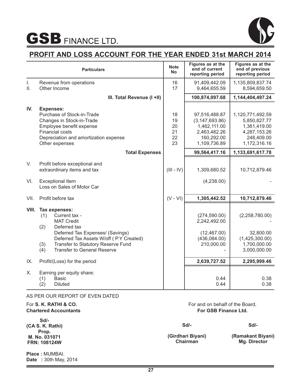

### **PROFIT AND LOSS ACCOUNT FOR THE YEAR ENDED 31st MARCH 2014**

|           | <b>Particulars</b>                                                                                                                                                                                                                                         | <b>Note</b><br><b>No</b>         | Figures as at the<br>end of current<br>reporting period                                         | Figures as at the<br>end of previous<br>reporting period                                       |
|-----------|------------------------------------------------------------------------------------------------------------------------------------------------------------------------------------------------------------------------------------------------------------|----------------------------------|-------------------------------------------------------------------------------------------------|------------------------------------------------------------------------------------------------|
| T.<br>II. | Revenue from operations<br>Other Income                                                                                                                                                                                                                    | 16<br>17                         | 91,409,442.09<br>9,464,655.59                                                                   | 1,135,809,837.74<br>8,594,659.50                                                               |
|           | III. Total Revenue (I +II)                                                                                                                                                                                                                                 |                                  | 100,874,097.68                                                                                  | 1,144,404,497.24                                                                               |
| IV.       | <b>Expenses:</b><br>Purchase of Stock-in-Trade<br>Changes in Stock-in-Trade<br>Employee benefit expense<br><b>Financial costs</b><br>Depreciation and amortization expense<br>Other expenses                                                               | 18<br>19<br>20<br>21<br>22<br>23 | 97,516,488.87<br>(3, 147, 693.86)<br>1,462,111.00<br>2,463,482.26<br>160,292.00<br>1,109,736.89 | 1,120,771,492.59<br>5,850,827.77<br>1,361,419.00<br>4,287,153.26<br>248,409.00<br>1,172,316.16 |
|           | <b>Total Expenses</b>                                                                                                                                                                                                                                      |                                  | 99,564,417.16                                                                                   | 1,133,691,617.78                                                                               |
| V.        | Profit before exceptional and<br>extraordinary items and tax                                                                                                                                                                                               | $(III - IV)$                     | 1,309,680.52                                                                                    | 10,712,879.46                                                                                  |
| VI.       | <b>Exceptional Item</b><br>Loss on Sales of Motor Car                                                                                                                                                                                                      |                                  | (4,238.00)                                                                                      |                                                                                                |
| VII.      | Profit before tax                                                                                                                                                                                                                                          | $(V - VI)$                       | 1,305,442.52                                                                                    | 10,712,879.46                                                                                  |
| VIII.     | Tax expenses:<br>(1)<br>Current tax -<br><b>MAT Credit</b><br>Deferred tax<br>(2)<br>Deferred Tax Expenses/ (Savings)<br>Deferred Tax Assets W/off (P.Y Created)<br>Transfer to Statutory Reserve Fund<br>(3)<br>(4)<br><b>Transfer to General Reserve</b> |                                  | (274, 590.00)<br>2,242,492.00<br>(12, 467.00)<br>(436,084.00)<br>210,000.00                     | (2,258,780.00)<br>32,800.00<br>(1,425,300.00)<br>1,700,000.00<br>3,000,000.00                  |
| IX.       | Profit/(Loss) for the period                                                                                                                                                                                                                               |                                  | 2,639,727.52                                                                                    | 2,295,999.46                                                                                   |
| Х.        | Earning per equity share:<br><b>Basic</b><br>(1)<br>(2)<br><b>Diluted</b><br>AS PER OUR REPORT OF EVEN DATED                                                                                                                                               |                                  | 0.44<br>0.44                                                                                    | 0.38<br>0.38                                                                                   |

### For **S. K. RATHI & CO. Chartered Accountants**

**Sd/- (CA S. K. Rathi) Prop. M. No. 031071 FRN: 108124W**

For and on behalf of the Board, **For GSB Finance Ltd.** 

**Sd/- (Girdhari Biyani) Chairman**

**(Ramakant Biyani) Mg. Director** 

**Sd/-**

**Place :** MUMBAI. **Date :** 30th May, 2014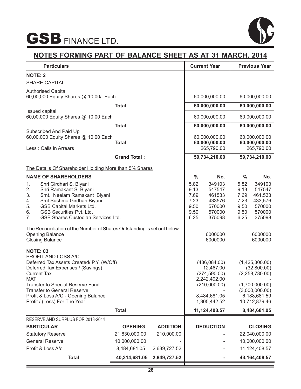

### **NOTES FORMING PART OF BALANCE SHEET AS AT 31 MARCH, 2014**

| <b>Particulars</b>                                                                                 |                     |                 |               | <b>Current Year</b>            |               | <b>Previous Year</b>             |
|----------------------------------------------------------------------------------------------------|---------------------|-----------------|---------------|--------------------------------|---------------|----------------------------------|
| NOTE: 2                                                                                            |                     |                 |               |                                |               |                                  |
| <b>SHARE CAPITAL</b>                                                                               |                     |                 |               |                                |               |                                  |
| <b>Authorised Capital</b><br>60,00,000 Equity Shares @ 10.00/- Each                                |                     |                 |               | 60,000,000.00                  |               | 60,000,000.00                    |
|                                                                                                    | <b>Total</b>        |                 |               | 60,000,000.00                  |               | 60,000,000.00                    |
| Issued capital<br>60,00,000 Equity Shares @ 10.00 Each                                             |                     |                 |               | 60,000,000.00                  |               | 60,000,000.00                    |
|                                                                                                    | <b>Total</b>        |                 |               | 60,000,000.00                  |               | 60,000,000.00                    |
| Subscribed And Paid Up                                                                             |                     |                 |               |                                |               |                                  |
| 60,00,000 Equity Shares @ 10.00 Each                                                               | <b>Total</b>        |                 |               | 60,000,000.00<br>60,000,000.00 |               | 60,000,000.00<br>60,000,000.00   |
| Less: Calls in Arrears                                                                             |                     |                 |               | 265,790.00                     |               | 265,790.00                       |
|                                                                                                    | <b>Grand Total:</b> |                 |               | 59,734,210.00                  |               | 59,734,210.00                    |
| The Details Of Shareholder Holding More than 5% Shares                                             |                     |                 |               |                                |               |                                  |
| <b>NAME OF SHAREHOLDERS</b>                                                                        |                     |                 | $\frac{0}{0}$ | No.                            | $\frac{0}{0}$ | No.                              |
| Shri Girdhari S. Biyani<br>1.                                                                      |                     |                 | 5.82          | 349103                         | 5.82          | 349103                           |
| 2.<br>Shri Ramakant S. Biyani                                                                      |                     |                 | 9.13          | 547547                         | 9.13          | 547547                           |
| 3.<br>Smt. Neelam Ramakant Biyani<br>Smt.Sushma Girdhari Biyani<br>4.                              |                     |                 | 7.69<br>7.23  | 461533<br>433576               | 7.69<br>7.23  | 461,533<br>433,576               |
| 5.<br>GSB Capital Markets Ltd.                                                                     |                     |                 | 9.50          | 570000                         | 9.50          | 570000                           |
| GSB Securities Pvt. Ltd.<br>6.<br>GSB Shares Custodian Services Ltd.<br>7.                         |                     |                 | 9.50<br>6.25  | 570000<br>375098               | 9.50<br>6.25  | 570000<br>375098                 |
|                                                                                                    |                     |                 |               |                                |               |                                  |
| The Reconciliation of the Number of Shares Outstanding is set out below:<br><b>Opening Balance</b> |                     |                 | 6000000       |                                | 6000000       |                                  |
| <b>Closing Balance</b>                                                                             |                     |                 |               | 6000000                        |               | 6000000                          |
| <b>NOTE: 03</b>                                                                                    |                     |                 |               |                                |               |                                  |
| PROFIT AND LOSS A/C                                                                                |                     |                 |               |                                |               |                                  |
| Deferred Tax Assets Created/ P.Y. (W/Off)                                                          |                     |                 |               | (436,084.00)                   |               | (1,425,300.00)                   |
| Deferred Tax Expenses / (Savings)<br><b>Current Tax</b>                                            |                     |                 |               | 12,467.00<br>(274, 590.00)     |               | (32,800.00)<br>(2,258,780.00)    |
| MAT                                                                                                |                     |                 |               | 2,242,492.00                   |               |                                  |
| <b>Transfer to Special Reserve Fund</b><br><b>Transfer to General Reserve</b>                      |                     |                 |               | (210,000.00)                   |               | (1,700,000.00)<br>(3,000,000.00) |
| Profit & Loss A/C - Opening Balance                                                                |                     |                 |               | 8,484,681.05                   |               | 6,188,681.59                     |
| Profit / (Loss) For The Year                                                                       |                     |                 |               | 1,305,442.52                   |               | 10,712,879.46                    |
|                                                                                                    | <b>Total</b>        |                 |               | 11,124,408.57                  |               | 8,484,681.05                     |
| RESERVE AND SURPLUS FOR 2013-2014                                                                  |                     |                 |               |                                |               |                                  |
| <b>PARTICULAR</b>                                                                                  | <b>OPENING</b>      | <b>ADDITION</b> |               | <b>DEDUCTION</b>               |               | <b>CLOSING</b>                   |
| <b>Statutory Reserve</b>                                                                           | 21,830,000.00       | 210,000.00      |               |                                |               | 22,040,000.00                    |
| <b>General Reserve</b>                                                                             | 10,000,000.00       |                 |               |                                |               | 10,000,000.00                    |
| Profit & Loss A/c                                                                                  | 8,484,681.05        | 2,639,727.52    |               |                                |               | 11,124,408.57                    |
| <b>Total</b>                                                                                       | 40,314,681.05       | 2,849,727.52    |               |                                |               | 43, 164, 408. 57                 |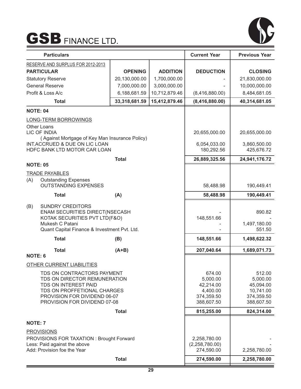

|                 | <b>Particulars</b>                                                                                                                                                                |                |                 | <b>Current Year</b>                                                     | <b>Previous Year</b>                                                     |
|-----------------|-----------------------------------------------------------------------------------------------------------------------------------------------------------------------------------|----------------|-----------------|-------------------------------------------------------------------------|--------------------------------------------------------------------------|
|                 | RESERVE AND SURPLUS FOR 2012-2013                                                                                                                                                 |                |                 |                                                                         |                                                                          |
|                 | <b>PARTICULAR</b>                                                                                                                                                                 | <b>OPENING</b> | <b>ADDITION</b> | <b>DEDUCTION</b>                                                        | <b>CLOSING</b>                                                           |
|                 | <b>Statutory Reserve</b>                                                                                                                                                          | 20,130,000.00  | 1,700,000.00    |                                                                         | 21,830,000.00                                                            |
|                 | <b>General Reserve</b>                                                                                                                                                            | 7,000,000.00   | 3,000,000.00    |                                                                         | 10,000,000.00                                                            |
|                 | Profit & Loss A/c                                                                                                                                                                 | 6,188,681.59   | 10,712,879.46   | (8,416,880.00)                                                          | 8,484,681.05                                                             |
|                 | <b>Total</b>                                                                                                                                                                      | 33,318,681.59  | 15,412,879.46   | (8,416,880.00)                                                          | 40,314,681.05                                                            |
| <b>NOTE: 04</b> |                                                                                                                                                                                   |                |                 |                                                                         |                                                                          |
|                 | <b>LONG-TERM BORROWINGS</b>                                                                                                                                                       |                |                 |                                                                         |                                                                          |
|                 | <b>Other Loans</b><br>LIC OF INDIA                                                                                                                                                |                |                 | 20,655,000.00                                                           | 20,655,000.00                                                            |
|                 | (Against Mortgage of Key Man Insurance Policy)<br>INT.ACCRUED & DUE ON LIC LOAN                                                                                                   |                |                 | 6,054,033.00                                                            | 3,860,500.00                                                             |
|                 | HDFC BANK LTD MOTOR CAR LOAN                                                                                                                                                      |                |                 | 180,292.56                                                              | 425,676.72                                                               |
|                 |                                                                                                                                                                                   | <b>Total</b>   |                 | 26,889,325.56                                                           | 24,941,176.72                                                            |
| <b>NOTE: 05</b> |                                                                                                                                                                                   |                |                 |                                                                         |                                                                          |
| (A)             | <b>TRADE PAYABLES</b><br><b>Outstanding Expenses</b>                                                                                                                              |                |                 |                                                                         |                                                                          |
|                 | <b>OUTSTANDING EXPENSES</b>                                                                                                                                                       |                |                 | 58,488.98                                                               | 190,449.41                                                               |
|                 | <b>Total</b>                                                                                                                                                                      | (A)            |                 | 58,488.98                                                               | 190,449.41                                                               |
| (B)             | <b>SUNDRY CREDITORS</b><br>ENAM SECURITIES DIRECT(NSECASH<br>KOTAK SECURITIES PVT LTD(F&O)<br>Mukesh C Patani<br>Quant Capital Finance & Investment Pvt. Ltd.                     |                |                 | 148,551.66                                                              | 890.82<br>1,497,180.00<br>551.50                                         |
|                 | <b>Total</b>                                                                                                                                                                      | (B)            |                 | 148,551.66                                                              | 1,498,622.32                                                             |
|                 | <b>Total</b>                                                                                                                                                                      | $(A+B)$        |                 | 207,040.64                                                              | 1,689,071.73                                                             |
| <b>NOTE: 6</b>  |                                                                                                                                                                                   |                |                 |                                                                         |                                                                          |
|                 | <b>OTHER CURRENT LIABILITIES</b>                                                                                                                                                  |                |                 |                                                                         |                                                                          |
|                 | TDS ON CONTRACTORS PAYMENT<br>TDS ON DIRECTOR REMUNERATION<br>TDS ON INTEREST PAID<br>TDS ON PROFFETIONAL CHARGES<br>PROVISION FOR DIVIDEND 06-07<br>PROVISION FOR DIVIDEND 07-08 |                |                 | 674.00<br>5,000.00<br>42,214.00<br>4,400.00<br>374,359.50<br>388,607.50 | 512.00<br>5,000.00<br>45,094.00<br>10,741.00<br>374,359.50<br>388,607.50 |
|                 |                                                                                                                                                                                   | <b>Total</b>   |                 | 815,255.00                                                              | 824,314.00                                                               |
| <b>NOTE: 7</b>  |                                                                                                                                                                                   |                |                 |                                                                         |                                                                          |
|                 | <b>PROVISIONS</b><br>PROVISIONS FOR TAXATION : Brought Forward<br>Less: Paid against the above<br>Add: Provision foe the Year                                                     | <b>Total</b>   |                 | 2,258,780.00<br>(2,258,780.00)<br>274,590.00<br>274,590.00              | 2,258,780.00<br>2,258,780.00                                             |
|                 |                                                                                                                                                                                   |                |                 |                                                                         |                                                                          |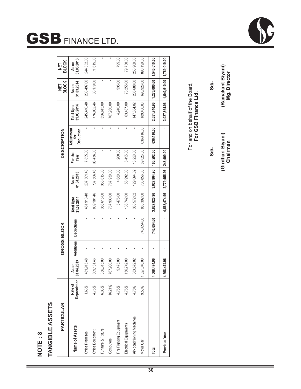# **NOTE : 8**

## **TANGIBLE ASSETS TANGIBLE ASSETS**

| PARTICULAR                |                         |                     |           | <b>GROSS BLOCK</b> |                                 |                     |                 | <b>DESCRIPTION</b>                    |                                 | <b>BLOCK</b><br>i∄  | <b>BLOCK</b><br>互   |
|---------------------------|-------------------------|---------------------|-----------|--------------------|---------------------------------|---------------------|-----------------|---------------------------------------|---------------------------------|---------------------|---------------------|
| Name of Assets            | Depreciation<br>Rate of | 01.04.2013<br>As on | Additions | <b>Deductions</b>  | 31.03.2014<br><b>Total Upto</b> | 01.04.2013<br>As on | For the<br>Year | Adjustment<br>for<br><b>Deduction</b> | 31.03.2014<br><b>Total Upto</b> | 31.03.2014<br>As on | 31.03.2013<br>As on |
| Office Premises           | 1.63%                   | 481,913.48          |           |                    | 481,913.48                      | 237,561.48          | 7,855.00        |                                       | 245,416.48                      | 236,497.00          | 244,352.00          |
| Office Equipment          | 4.75%                   | 809,181.46          |           |                    | 809,181.46                      | 737,566.46          | 38,436.00       |                                       | 76,002.46                       | 33,179.00           | 71,615.00           |
| Funiture & Fixture        | 6.33%                   | 356,615.00          |           |                    | 356,615.00                      | 356,615.00          |                 |                                       | 356,615.00                      |                     |                     |
| Computers                 | 16.21%                  | 767,930.00          |           |                    | 767,930.00                      | 767,930.00          |                 |                                       | 767,930.00                      |                     | 1                   |
| Fire Fighting Equipment   | 4.75%                   | 5,475.00            |           |                    | 5,475.00                        | 4,680.00            | 260.00          |                                       | 4,940.00                        | 535.00              | 795.00              |
| Electrical Equipments     | 4.75%                   | 136,742.00          |           |                    | 136,742.00                      | 56,992.00           | 6,495.00        |                                       | 63,487.00                       | 73,255.00           | 79,750.00           |
| Air-conditioning Machines | 4.75%                   | 383,572.02          |           |                    | 383,572.02                      | 129,664.02          | 18,220.00       |                                       | 147,884.02                      | 235,688.00          | 253,908.00          |
| Motor Car                 | 9.50%                   | ,627,046.00         |           | 740,654.00         | 886,392.00                      | 736,856.00          | 89,026.00       | 636,416.00                            | 189,466.00                      | 696,926.00          | 890,190.00          |
| Total                     |                         | 4,568,474.96        |           | 740,654.00         | 3,827,820.96                    | 3,027,864.96        | 160,292.00      | 636,416.00                            | 2,551,740.96                    | 1,276,080.00        | 1,540,610.00        |
| <b>Previous Year</b>      |                         | 4,568,474.96        |           |                    | 4,568,474.96                    | 2,779,455.96        | 248,409.00      |                                       | 3,027,864.96                    | 1,540,610.00        | 1,789,019.00        |

**GSB** FINANCE LTD.

(Ramakant Biyani)<br>Mg. Director **(Ramakant Biyani) Mg. Director**

**Sd/- (Girdhari Biyani) Chairman**

**Sd/-**

For and on behalf of the Board, **For GSB Finance Ltd.**

For and on behalf of the Board,<br>For GSB Finance Ltd.

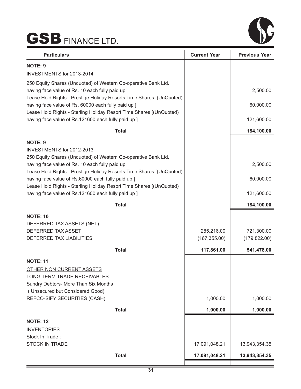

| <b>Particulars</b>                                                                                                                                                                       | <b>Current Year</b> | <b>Previous Year</b>    |
|------------------------------------------------------------------------------------------------------------------------------------------------------------------------------------------|---------------------|-------------------------|
| <b>NOTE: 9</b>                                                                                                                                                                           |                     |                         |
| <b>INVESTMENTS for 2013-2014</b>                                                                                                                                                         |                     |                         |
| 250 Equity Shares (Unquoted) of Western Co-operative Bank Ltd.<br>having face value of Rs. 10 each fully paid up<br>Lease Hold Rights - Prestige Holiday Resorts Time Shares [(UnQuoted) |                     | 2,500.00                |
| having face value of Rs. 60000 each fully paid up ]<br>Lease Hold Rights - Sterling Holiday Resort Time Shares [(UnQuoted)<br>having face value of Rs.121600 each fully paid up ]        |                     | 60,000.00<br>121,600.00 |
| <b>Total</b>                                                                                                                                                                             |                     | 184,100.00              |
| <b>NOTE: 9</b>                                                                                                                                                                           |                     |                         |
| <b>INVESTMENTS for 2012-2013</b>                                                                                                                                                         |                     |                         |
| 250 Equity Shares (Unquoted) of Western Co-operative Bank Ltd.                                                                                                                           |                     |                         |
| having face value of Rs. 10 each fully paid up                                                                                                                                           |                     | 2,500.00                |
| Lease Hold Rights - Prestige Holiday Resorts Time Shares [(UnQuoted)                                                                                                                     |                     |                         |
| having face value of Rs.60000 each fully paid up ]                                                                                                                                       |                     | 60,000.00               |
| Lease Hold Rights - Sterling Holiday Resort Time Shares [(UnQuoted)                                                                                                                      |                     |                         |
| having face value of Rs.121600 each fully paid up ]                                                                                                                                      |                     | 121,600.00              |
| <b>Total</b>                                                                                                                                                                             |                     | 184,100.00              |
| <b>NOTE: 10</b>                                                                                                                                                                          |                     |                         |
| DEFERRED TAX ASSETS (NET)                                                                                                                                                                |                     |                         |
| DEFERRED TAX ASSET                                                                                                                                                                       | 285,216.00          | 721,300.00              |
| DEFERRED TAX LIABILITIES                                                                                                                                                                 | (167, 355.00)       | (179, 822.00)           |
| <b>Total</b>                                                                                                                                                                             | 117,861.00          | 541,478.00              |
| <b>NOTE: 11</b>                                                                                                                                                                          |                     |                         |
| <b>OTHER NON CURRENT ASSETS</b>                                                                                                                                                          |                     |                         |
| LONG TERM TRADE RECEIVABLES                                                                                                                                                              |                     |                         |
| Sundry Debtors- More Than Six Months                                                                                                                                                     |                     |                         |
| (Unsecured but Considered Good)                                                                                                                                                          |                     |                         |
| REFCO-SIFY SECURITIES (CASH)                                                                                                                                                             | 1,000.00            | 1,000.00                |
| <b>Total</b>                                                                                                                                                                             | 1,000.00            | 1,000.00                |
| <b>NOTE: 12</b>                                                                                                                                                                          |                     |                         |
| <b>INVENTORIES</b>                                                                                                                                                                       |                     |                         |
| Stock In Trade:                                                                                                                                                                          |                     |                         |
| <b>STOCK IN TRADE</b>                                                                                                                                                                    | 17,091,048.21       | 13,943,354.35           |
| <b>Total</b>                                                                                                                                                                             | 17,091,048.21       | 13,943,354.35           |
|                                                                                                                                                                                          |                     |                         |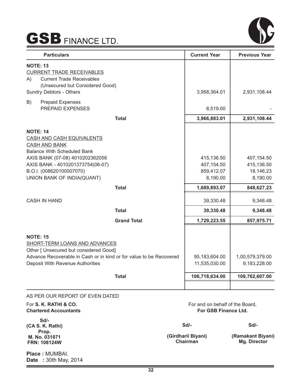

|    | <b>Particulars</b>                                                                                            | <b>Current Year</b>                                     | <b>Previous Year</b> |
|----|---------------------------------------------------------------------------------------------------------------|---------------------------------------------------------|----------------------|
|    | <b>NOTE: 13</b>                                                                                               |                                                         |                      |
|    | <b>CURRENT TRADE RECEIVABLES</b>                                                                              |                                                         |                      |
| A) | <b>Current Trade Receivables</b>                                                                              |                                                         |                      |
|    | (Unsecured but Considered Good)                                                                               |                                                         |                      |
|    | Sundry Debtors - Others                                                                                       | 3,958,364.01                                            | 2,931,108.44         |
| B) | <b>Prepaid Expenses</b>                                                                                       |                                                         |                      |
|    | PREPAID EXPENSES                                                                                              | 8,519.00                                                |                      |
|    | <b>Total</b>                                                                                                  | 3,966,883.01                                            | 2,931,108.44         |
|    |                                                                                                               |                                                         |                      |
|    | <b>NOTE: 14</b><br>CASH AND CASH EQUIVALENTS                                                                  |                                                         |                      |
|    | <b>CASH AND BANK</b>                                                                                          |                                                         |                      |
|    | <b>Balance With Scheduled Bank</b>                                                                            |                                                         |                      |
|    | AXIS BANK (07-08) 4010202362056                                                                               | 415,136.50                                              | 407,154.50           |
|    | AXIS BANK - 4010201373754(06-07)                                                                              | 407,154.50                                              | 415,136.50           |
|    | B.O.I. (008620100007070)                                                                                      | 859,412.07                                              | 18,146.23            |
|    | UNION BANK OF INDIA(QUANT)                                                                                    | 8,190.00                                                | 8,190.00             |
|    | <b>Total</b>                                                                                                  | 1,689,893.07                                            | 848,627.23           |
|    | <b>CASH IN HAND</b>                                                                                           | 39,330.48                                               | 9,348.48             |
|    | <b>Total</b>                                                                                                  | 39,330.48                                               | 9,348.48             |
|    | <b>Grand Total</b>                                                                                            | 1,729,223.55                                            | 857,975.71           |
|    | <b>NOTE: 15</b><br>SHORT-TERM LOANS AND ADVANCES                                                              |                                                         |                      |
|    | Other [ Unsecured but considered Good]<br>Advance Recoverable in Cash or in kind or for value to be Recovered | 95,183,604.00                                           | 1,00,579,379.00      |
|    | Deposit With Revenue Authorities                                                                              | 11,535,030.00                                           | 9,183,228.00         |
|    |                                                                                                               |                                                         |                      |
|    | <b>Total</b>                                                                                                  | 106,718,634.00                                          | 109,762,607.00       |
|    |                                                                                                               |                                                         |                      |
|    | AS PER OUR REPORT OF EVEN DATED                                                                               |                                                         |                      |
|    | For S. K. RATHI & CO.<br><b>Chartered Accountants</b>                                                         | For and on behalf of the Board,<br>For GSB Finance Ltd. |                      |
|    | $Sd$ -<br>(CA S. K. Rathi)<br>Prop.                                                                           | Sd/-                                                    | Sd/-                 |
|    | M. No. 031071                                                                                                 | (Girdharil Biyani)                                      | (Ramakant Biyani)    |

**(Girdharil Biyani) Chairman**

**(Ramakant Biyani) Mg. Director** 

**Place :** MUMBAI. **Date :** 30th May, 2014

**FRN: 108124W**

 $\sim$   $\sim$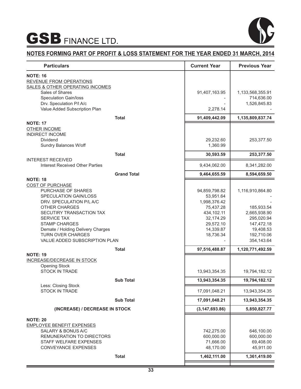

### **NOTES FORMING PART OF PROFIT & LOSS STATEMENT FOR THE YEAR ENDED 31 MARCH, 2014**

| <b>Particulars</b>                                                                                                                                                                                                                                                                                                        |                    | <b>Current Year</b>                                                                                                                        | <b>Previous Year</b>                                                                                                                    |
|---------------------------------------------------------------------------------------------------------------------------------------------------------------------------------------------------------------------------------------------------------------------------------------------------------------------------|--------------------|--------------------------------------------------------------------------------------------------------------------------------------------|-----------------------------------------------------------------------------------------------------------------------------------------|
| <b>NOTE: 16</b><br><b>REVENUE FROM OPERATIONS</b><br>SALES & OTHER OPERATING INCOMES<br>Sales of Shares<br><b>Speculation Gain/loss</b><br>Drv. Speculation P/I A/c<br>Value Added Subscription Plan                                                                                                                      |                    | 91,407,163.95<br>2,278.14                                                                                                                  | 1,133,568,355.91<br>714,636.00<br>1,526,845.83                                                                                          |
|                                                                                                                                                                                                                                                                                                                           | <b>Total</b>       | 91,409,442.09                                                                                                                              | 1,135,809,837.74                                                                                                                        |
| <b>NOTE: 17</b><br>OTHER INCOME<br><b>INDIRECT INCOME</b><br><b>Dividend</b><br>Sundry Balances W/off                                                                                                                                                                                                                     |                    | 29,232.60<br>1,360.99                                                                                                                      | 253,377.50                                                                                                                              |
|                                                                                                                                                                                                                                                                                                                           | <b>Total</b>       | 30,593.59                                                                                                                                  | 253,377.50                                                                                                                              |
| <b>INTEREST RECEIVED</b><br><b>Interest Received Other Parties</b>                                                                                                                                                                                                                                                        |                    | 9,434,062.00                                                                                                                               | 8,341,282.00                                                                                                                            |
|                                                                                                                                                                                                                                                                                                                           | <b>Grand Total</b> | 9,464,655.59                                                                                                                               | 8,594,659.50                                                                                                                            |
| <b>NOTE: 18</b><br><b>COST OF PURCHASE</b><br>PURCHASE OF SHARES<br>SPECULATION GAIN/LOSS<br>DRV. SPECULATION P/L A/C<br><b>OTHER CHARGES</b><br>SECUTIRY TRANSACTION TAX<br><b>SERVICE TAX</b><br><b>STAMP CHARGES</b><br>Demate / Holding Delivery Charges<br><b>TURN OVER CHARGES</b><br>VALUE ADDED SUBSCRIPTION PLAN | <b>Total</b>       | 94,859,798.82<br>53,951.64<br>1,998,376.42<br>75,437.28<br>434,102.11<br>32,174.29<br>29,572.10<br>14,339.87<br>18,736.34<br>97,516,488.87 | 1,116,910,864.80<br>185,933.54<br>2,665,938.90<br>295,020.94<br>147,472.18<br>19,408.53<br>192,710.06<br>354,143.64<br>1,120,771,492.59 |
| <b>NOTE: 19</b><br>INCREASE/DECREASE IN STOCK<br><b>Opening Stock</b><br><b>STOCK IN TRADE</b>                                                                                                                                                                                                                            |                    | 13,943,354.35                                                                                                                              | 19,794,182.12                                                                                                                           |
|                                                                                                                                                                                                                                                                                                                           | <b>Sub Total</b>   | 13,943,354.35                                                                                                                              | 19,794,182.12                                                                                                                           |
| Less: Closing Stock<br><b>STOCK IN TRADE</b>                                                                                                                                                                                                                                                                              |                    | 17,091,048.21                                                                                                                              | 13,943,354.35                                                                                                                           |
|                                                                                                                                                                                                                                                                                                                           | <b>Sub Total</b>   | 17,091,048.21                                                                                                                              | 13,943,354.35                                                                                                                           |
| (INCREASE) / DECREASE IN STOCK                                                                                                                                                                                                                                                                                            |                    | (3, 147, 693.86)                                                                                                                           | 5,850,827.77                                                                                                                            |
| <b>NOTE: 20</b><br><b>EMPLOYEE BENEFIT EXPENSES</b><br>SALARY & BONUS A/C<br>REMUNERATION TO DIRECTORS<br>STAFF WELFARE EXPENSES<br><b>CONVEYANCE EXPENSES</b>                                                                                                                                                            | <b>Total</b>       | 742,275.00<br>600,000.00<br>71,666.00<br>48,170.00<br>1,462,111.00                                                                         | 646,100.00<br>600,000.00<br>69,408.00<br>45,911.00<br>1,361,419.00                                                                      |
|                                                                                                                                                                                                                                                                                                                           |                    |                                                                                                                                            |                                                                                                                                         |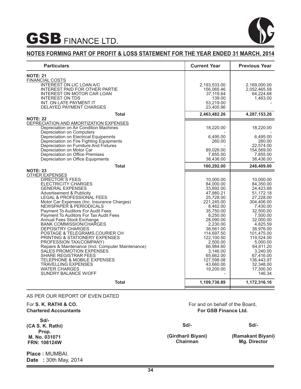

### **NOTES FORMING PART OF PROFIT & LOSS STATEMENT FOR THE YEAR ENDED 31 MARCH, 2014**

| <b>Particulars</b>                                                                                                                                                                                                                                                                                                                                                                                                                                                                                                                                                                                                                                                                                                                                                                   | <b>Current Year</b>                                                                                                                                                                                                                                                          | <b>Previous Year</b>                                                                                                                                                                                                                                                                   |
|--------------------------------------------------------------------------------------------------------------------------------------------------------------------------------------------------------------------------------------------------------------------------------------------------------------------------------------------------------------------------------------------------------------------------------------------------------------------------------------------------------------------------------------------------------------------------------------------------------------------------------------------------------------------------------------------------------------------------------------------------------------------------------------|------------------------------------------------------------------------------------------------------------------------------------------------------------------------------------------------------------------------------------------------------------------------------|----------------------------------------------------------------------------------------------------------------------------------------------------------------------------------------------------------------------------------------------------------------------------------------|
| <b>NOTE: 21</b><br><b>FINANCIAL COSTS</b><br><b>INTEREST ON LIC LOAN A/C</b><br><b>INTEREST PAID FOR OTHER PARTIE</b><br>INTEREST ON MOTOR CAR LOAN<br><b>INTEREST ON TDS</b><br>INT. ON LATE PAYMENT IT<br>DELAYED PAYMENT CHARGES                                                                                                                                                                                                                                                                                                                                                                                                                                                                                                                                                  | 2,193,533.00<br>156,065.46<br>37,119.84<br>139.00<br>53,219.00<br>23,405.96                                                                                                                                                                                                  | 2,169,000.00<br>2,052,465.58<br>64,224.68<br>1,463.00                                                                                                                                                                                                                                  |
| Total                                                                                                                                                                                                                                                                                                                                                                                                                                                                                                                                                                                                                                                                                                                                                                                | 2,463,482.26                                                                                                                                                                                                                                                                 | 4,287,153.26                                                                                                                                                                                                                                                                           |
| <b>NOTE: 22</b><br>DEPRECIATION AND AMORTIZATION EXPENSES<br>Depreciation on Air Condition Machines<br>Depreciation on Computers<br>Depreciation on Electrical Equipemnts<br>Depreciation on Fire Fighting Equipments<br>Depreciation on Furniture And Fixtures<br>Depreciation on Motor Car<br>Depreciation on Office Premises<br>Depreciation on Office Equipments                                                                                                                                                                                                                                                                                                                                                                                                                 | 18,220.00<br>6,495.00<br>260.00<br>89,026.00<br>7.855.00<br>38.436.00                                                                                                                                                                                                        | 18,220.00<br>6,495.00<br>260.00<br>22,574.00<br>154,569.00<br>7,855.00<br>38,436.00                                                                                                                                                                                                    |
| <b>Total</b>                                                                                                                                                                                                                                                                                                                                                                                                                                                                                                                                                                                                                                                                                                                                                                         | 160,292.00                                                                                                                                                                                                                                                                   | 248,409.00                                                                                                                                                                                                                                                                             |
| <b>NOTE: 23</b><br><b>OTHER EXPENSES</b><br><b>DIRECTOR'S FEES</b><br><b>ELECTRICITY CHARGES</b><br><b>GENERAL EXPENSES</b><br><b>Advertisement &amp; Publicity</b><br>LEGAL & PROFESSIONAL FEES<br>Motor Car Expenses (Inc. Insurance Charges)<br>NEWSPAPER & PERIODICALS<br>Payment To Auditors For Audit Fees<br>Payment To Auditors For Tax Audit Fees<br>Annual Fees Stock Exchange<br><b>BANK COMMISSION/CHARGES</b><br><b>DEPOSITRY CHARGES</b><br>POSTAGE & TELEGRAMS, COURIER CH<br>PRINTING & STATIONERY EXPENSES<br>PROFESSION TAX(COMPANY)<br>Repairs & Maintenance (Incl. Computer Maintenance)<br>SALES PROMOTION EXPENSES<br><b>SHARE REGISTRAR FEES</b><br>TELEPHONE & MOBILE EXPENSES<br><b>TRAVELLING EXPENSES</b><br><b>WATER CHARGES</b><br>SUNDRY BALANCE W/OFF | 10,000.00<br>84,000.00<br>33,892.00<br>47,980.21<br>25,728.00<br>221,245.00<br>8,462.00<br>35,750.00<br>8,250.00<br>28,090.00<br>2,230.00<br>38,561.00<br>114,697.50<br>122,100.50<br>2,500.00<br>66,984.60<br>3,146.00<br>65.662.00<br>127,598.08<br>43,660.00<br>19,200.00 | 10,000.00<br>84,350.00<br>24,423.88<br>51,172.18<br>27,228.00<br>304,406.00<br>7,430.00<br>32,500.00<br>7,500.00<br>32,000.00<br>4,825.59<br>38,976.00<br>101,475.00<br>119,524.00<br>5,000.00<br>64,611.20<br>3,240.00<br>67,416.00<br>136,443.97<br>32,348.00<br>17,300.00<br>146.34 |
| <b>Total</b>                                                                                                                                                                                                                                                                                                                                                                                                                                                                                                                                                                                                                                                                                                                                                                         | 1,109,736.89                                                                                                                                                                                                                                                                 | 1,172,316.16                                                                                                                                                                                                                                                                           |

#### AS PER OUR REPORT OF EVEN DATED

#### For **S. K. RATHI & CO. Chartered Accountants**

**Sd/- (CA S. K. Rathi) Prop. M. No. 031071 FRN: 108124W**

**Place :** MUMBAI. **Date :** 30th May, 2014 For and on behalf of the Board, **For GSB Finance Ltd.** 

**Sd/-**

**(Girdharil Biyani) Chairman**

**Sd/-**

**(Ramakant Biyani) Mg. Director**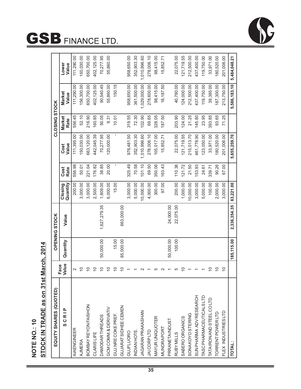|               | ζ                   |
|---------------|---------------------|
|               | $\frac{31}{5}$      |
|               | ႙<br>Ť,             |
|               | in<br>1<br> TR<br>! |
| $\frac{1}{2}$ | こくト                 |

| EQUITY SHARES (QUOTED)    |                                |             | OPENING STOCK |                     |              |               | <b>CLOSING STOCK</b> |                 |                |
|---------------------------|--------------------------------|-------------|---------------|---------------------|--------------|---------------|----------------------|-----------------|----------------|
| SCRIP                     | /alue<br>Face                  | Quantity    | Value         | Quantity<br>Closing | Cost<br>Rate | Value<br>Cost | Market<br>Rate       | Market<br>Value | Lower<br>Value |
| AIAENGINEER               | 2                              |             |               | 200.00              | 556.98       | 111,395.00    | 556.45               | 111,290.00      | 111,290.00     |
| <b>AJMERA</b>             | $\overline{C}$                 |             |               | 3,000.00            | 50.01        | 150,030.00    | 52.10                | 156,300.00      | 150,030.00     |
| BOMBAY REYON FAISHON      | $\overline{0}$                 |             |               | 3,000.00            | 221.04       | 663,120.00    | 216.90               | 650,700.00      | 650,700.00     |
| CLARISLIFE                | $\overline{C}$                 |             |               | 2,500.00            | 176.82       | 442,045.39    | 160.85               | 402,125.00      | 402,125.00     |
| DAMODAR THREADS           | $\overset{\circ}{\mathcal{L}}$ | 50,000.00   | 1,627,279.35  | 1,809.00            | 38.85        | 70,277.95     | 50.05                | 90,540.45       | 70,277.95      |
| GCM COMM. & DERIVATIV     | $\overline{C}$                 |             |               | 6,000.00            | 20.00        | 120,000.00    | 9.31                 | 55,860.00       | 55,860.00      |
| GUJ.NRE COKE PREF.        | $\overline{0}$                 | 15.00       |               | 15.00               |              |               | 10.01                | 150.15          |                |
| GUJARAT SIDHEE CEMEN      | $\overline{C}$                 | 85,000.00   | 663,000.00    |                     |              |               |                      |                 |                |
| GUJFLUORO                 | $\overline{\phantom{0}}$       |             |               | 3,000.00            | 325.49       | 976,481.50    | 319.55               | 958,650.00      | 958,650.00     |
| NDIAN HOTE.               | $\overline{\phantom{0}}$       |             |               | 5,000.00            | 70.58        | 352,903.30    | 72.30                | 361,500.00      | 352,903.30     |
| <b>JAGARAN PRAKASHAN</b>  | $\mathbf{\Omega}$              |             |               | 10,000.00           | 101.10       | 1,010,996.60  | 102.90               | 1,029,000.00    | 1,010,996.60   |
| JAI CORP LTD              | $\overline{\phantom{0}}$       |             |               | 4,000.00            | 69.50        | 278,006.10    | 69.65                | 278,600.00      | 278,006.10     |
| MAYUR UNIQUOTER           | 5                              |             |               | 300.00              | 350.06       | 105,017.00    | 328.05               | 98,415.00       | 98,415.00      |
| <b>MUNDRAPORT</b>         | $\mathbf{\sim}$                |             |               | 97.00               | 163.43       | 15,852.71     | 187.50               | 18,187.50       | 15,852.71      |
| <b>PRRANETAINDUST</b>     | $\overline{\phantom{0}}$       | 50,000.00   | 24,000.00     |                     |              |               |                      |                 |                |
| RUBY MILLS                | 5                              | 100.00      | 22,075.00     | 200.00              | 110.38       | 22,075.00     | 203.90               | 40,780.00       | 22,075.00      |
| SABERO ORGANICS           | $\widetilde{C}$                |             |               | 1,000.00            | 121.72       | 121,719.55    | 124.00               | 124,000.00      | 121,719.55     |
| SONAKOYO STERING          | $\overline{\phantom{0}}$       |             |               | 10,000.00           | 21.50        | 215,013.70    | 21.25                | 212,500.00      | 212,500.00     |
| SUN PHARMA ADV RESEARCH   | $\overline{\phantom{0}}$       |             |               | 3,000.00            | 153.93       | 461,778.90    | 145.80               | 437,400.00      | 437,400.00     |
| TASC PHARMACEUTICALS LTD  |                                |             |               | 5,000.00            | 24.61        | 123,050.00    | 23.95                | 119,750.00      | 119,750.00     |
| TATA IRON AND STEEL COLTD | $\widetilde{\phantom{a}}$      |             |               | 100.00              | 339.71       | 33,971.00     | 393.85               | 39,385.00       | 33,971.00      |
| <b>TORRENT POWERLTD</b>   | $\widetilde{\phantom{a}}$      |             |               | 2,000.00            | 90.26        | 180,520.00    | 93.65                | 187,300.00      | 180,520.00     |
| FLEX INDUSTRIES LTD       | $\overline{C}$                 |             |               | 3,000.00            | 67.00        | 201,006.00    | 71.25                | 213,750.00      | 201,006.00     |
| <b>TOTAL:</b>             |                                | 185, 115.00 | 2,336,354.35  | 63,221.00           |              | 5,655,259.70  |                      | 5,586,183.10    | 5,484,048.21   |



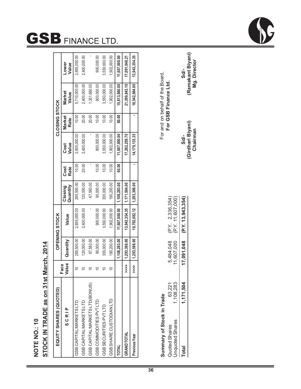# **NOTE NO.: 10 STOCK IN TRADE as on 31st March, 2014**

| EQUITY SHARES (QUOTED)         |                           |              | OPENING STOCK |                     |                     |                 | <b>CLOSING STOCK</b> |                  |                |
|--------------------------------|---------------------------|--------------|---------------|---------------------|---------------------|-----------------|----------------------|------------------|----------------|
| SCRIP                          | Value<br>ace <sup>.</sup> | Quantity     | Value         | Quantity<br>Closing | <b>Rate</b><br>Cost | Value<br>Cost   | Market<br>Rate       | Vlarket<br>Value | Lower<br>Value |
| GSB CAPITAL MARKETS LTD        |                           | 285,500.00   | 2,855,000.00  | 285,500.00          | 10.00               | ,855,000.00     | 10.00                | 5,710,000.00     | 2,855,000.00   |
| GSB CAPITAL MARKETS LTD        |                           | 20,000.00    | 2,400,000.00  | 20,000.00           | 20.00               | 2,400,000.00    | 20.00                | 2,400,000.00     | 2,400,000.00   |
| GSB CAPITAL MARKETS LTD(BONUS) |                           | 67,583.00    |               | 67,583.00           |                     |                 | 20.00                | ,351,660.00      |                |
| GSB COMMODITIES PVT LTD        |                           | 90,000.00    | 900,000.00    | 90,000.00           | 0.00                | 900,000.00      | 0.00                 | 900,000.00       | 900,000.00     |
| GSB SECURITIES PVT LTD         |                           | 355,000.00   | 3,550,000.00  | 355,000.00          | 0.00                | 3,550,000.00    | 10.00                | 3,550,000.00     | 3,550,000.00   |
| GSB SHARE CUSTODIAN LTD        |                           | 190,200.00   | 1,902,000.00  | 190,200.00          | 0.001               | ,902,000.00     | 10.00                | ,902,000.00      | .902,000.00    |
| <b>TOTAL</b>                   |                           | 1,108,283.00 | 11,607,000.00 | 1,108,283.00        | 60.00               | 11,607,000.00   | 80.00                | 15,813,660.00    | 11,607,000.00  |
| <b>GRAND TOTAL</b>             | へへへ                       | 1,293,398.00 | 13,943,354.35 | 1,171,504.00        |                     | 17,262,259.70   |                      | 21,399,843.10    | 17,091,048.21  |
| Previous Year                  | $\hat{\hat{\lambda}}$     | 1,293,598.00 | 19.792,082.12 | 1,293,398.00        |                     | 14, 179, 133.35 |                      | 18.542.984.00    | 13,943,354.35  |
|                                |                           |              |               |                     |                     |                 |                      |                  |                |

# Summary of Stock in Trade **Summary of Stock in Trade**

For and on behalf of the Board, **For GSB Finance Ltd.**

For and on behalf of the Board,<br>For GSB Finance Ltd.

**Sd/- (Girdhari Biyani) Chairman**

Sd/-<br>(Ramakant Biyani)<br>Mg. Director **(Ramakant Biyani) Mg. Director**

| Quoted Shares          | 63,221    | 5,484,048  | (P.Y. 2, 336, 354)             |
|------------------------|-----------|------------|--------------------------------|
| <b>Unquoted Shares</b> | ,108,283  | 11,607,000 | (P.Y. 11,607,000)              |
| <b>Total</b>           | 1,171,504 |            | $17,091,048$ (P.Y. 13,943,354) |

### **GSB** FINANCE LTD.

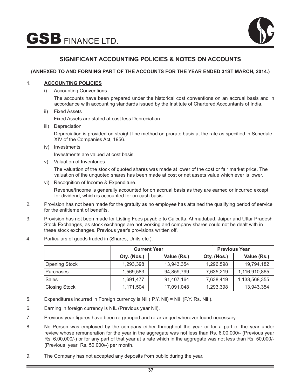

### **SIGNIFICANT ACCOUNTING POLICIES & NOTES ON ACCOUNTS**

#### **(ANNEXED TO AND FORMING PART OF THE ACCOUNTS FOR THE YEAR ENDED 31ST MARCH, 2014.)**

#### **1. ACCOUNTING POLICIES**

i) Accounting Conventions

The accounts have been prepared under the historical cost conventions on an accrual basis and in accordance with accounting standards issued by the Institute of Chartered Accountants of India.

ii) Fixed Assets

Fixed Assets are stated at cost less Depreciation

iii) Depreciation

Depreciation is provided on straight line method on prorate basis at the rate as specified in Schedule XIV of the Companies Act, 1956.

iv) Investments

Investments are valued at cost basis.

v) Valuation of Inventories

The valuation of the stock of quoted shares was made at lower of the cost or fair market price. The valuation of the unquoted shares has been made at cost or net assets value which ever is lower.

vi) Recognition of Income & Expenditure.

Revenue/Income is generally accounted for on accrual basis as they are earned or incurred except for dividend, which is accounted for on cash basis.

- 2. Provision has not been made for the gratuity as no employee has attained the qualifying period of service for the entitlement of benefits.
- 3. Provision has not been made for Listing Fees payable to Calcutta, Ahmadabad, Jaipur and Uttar Pradesh Stock Exchanges, as stock exchange are not working and company shares could not be dealt with in these stock exchanges. Previous year's provisions written off.
- 4. Particulars of goods traded in (Shares, Units etc.).

|                      |             | <b>Current Year</b> |             | <b>Previous Year</b> |
|----------------------|-------------|---------------------|-------------|----------------------|
|                      | Qty. (Nos.) | Value (Rs.)         | Qty. (Nos.) | Value (Rs.)          |
| <b>Opening Stock</b> | 1,293,398   | 13,943,354          | 1,296,598   | 19,794,182           |
| <b>Purchases</b>     | 1,569,583   | 94,859,799          | 7,635,219   | 1,116,910,865        |
| <b>Sales</b>         | 1,691,477   | 91,407,164          | 7,638,419   | 1,133,568,355        |
| <b>Closing Stock</b> | 1,171,504   | 17,091,048          | 1,293,398   | 13,943,354           |

- 5. Expenditures incurred in Foreign currency is Nil ( P.Y. Nil) = Nil (P.Y. Rs. Nil ).
- 6. Earning in foreign currency is NIL (Previous year Nil).
- 7. Previous year figures have been re-grouped and re-arranged wherever found necessary.
- 8. No Person was employed by the company either throughout the year or for a part of the year under review whose remuneration for the year in the aggregate was not less than Rs. 6,00,000/- (Previous year Rs. 6,00,000/-) or for any part of that year at a rate which in the aggregate was not less than Rs. 50,000/- (Previous year Rs. 50,000/-) per month.
- 9. The Company has not accepted any deposits from public during the year.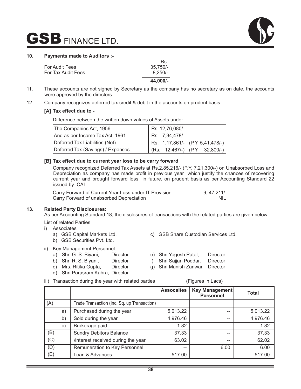

#### **10. Payments made to Auditors :-**

|                    | 44.000/-   |
|--------------------|------------|
| For Tax Audit Fees | $8.250/-$  |
| For Audit Fees     | $35.750/-$ |
|                    | Rs.        |

- 11. These accounts are not signed by Secretary as the company has no secretary as on date, the accounts were approved by the directors.
- 12. Company recognizes deferred tax credit & debit in the accounts on prudent basis.

#### **[A] Tax effect due to -**

Difference between the written down values of Assets under-

| The Companies Act, 1956           | Rs. 12.76.080/-                    |
|-----------------------------------|------------------------------------|
| And as per Income Tax Act, 1961   | Rs. 7,34,478/-                     |
| Deferred Tax Liabilities (Net)    | Rs. 1,17,861/- (P.Y. 5,41,478/-)   |
| Deferred Tax (Savings) / Expenses | $(Rs. 12,467/-)$ $(P.Y. 32,800/-)$ |

#### **[B] Tax effect due to current year loss to be carry forward**

Company recognized Deferred Tax Assets at Rs.2,85,216/- (P.Y. 7,21,300/-) on Unabsorbed Loss and Depreciation as company has made profit in previous year which justify the chances of recovering current year and brought forward loss in future, on prudent basis as per Accounting Standard 22 issued by ICAI

| Carry Forward of Current Year Loss under IT Provision | $9,47,211/-$ |
|-------------------------------------------------------|--------------|
| Carry Forward of unabsorbed Depreciation              | <b>NIL</b>   |

#### **13. Related Party Disclosures:**

As per Accounting Standard 18, the disclosures of transactions with the related parties are given below:

List of related Parties

- i) Associates
	- a) GSB Capital Markets Ltd. c) GSB Share Custodian Services Ltd.
	- b) GSB Securities Pvt. Ltd.
- 
- ii) Key Management Personnel
- 
- a) Shri G. S. Biyani, Director e) Shri Yogesh Patel, Director
- b) Shri R. S. Biyani, Director f) Shri Sajjan Poddar, Director
- c) Mrs. Ritika Gupta, Director g) Shri Manish Zanwar, Director
- d) Shri Parasram Kabra, Director
- iii) Transaction during the year with related parties (Figures in Lacs)

|     |               |                                             | <b>Assocaites</b> | <b>Key Management</b><br><b>Personnel</b> | Total    |
|-----|---------------|---------------------------------------------|-------------------|-------------------------------------------|----------|
| (A) |               | Trade Transaction (Inc. Sq. up Transaction) |                   |                                           |          |
|     | a)            | Purchased during the year                   | 5,013.22          |                                           | 5,013.22 |
|     | b)            | Sold during the year                        | 4,976.46          | --                                        | 4,976.46 |
|     | $\mathsf{c})$ | Brokerage paid                              | 1.82              | --                                        | 1.82     |
| (B) |               | <b>Sundry Debitors Balance</b>              | 37.33             | --                                        | 37.33    |
| (C) |               | Interest received during the year           | 63.02             | --                                        | 62.02    |
| (D) |               | Remuneration to Key Personnel               | --                | 6.00                                      | 6.00     |
| (E) |               | Loan & Advances                             | 517.00            |                                           | 517.00   |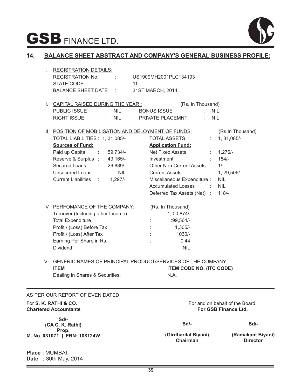**Date :** 30th May, 2014



### **14. BALANCE SHEET ABSTRACT AND COMPANY'S GENERAL BUSINESS PROFILE:**

| Place: MUMBAI. | M. No. 031071   FRN: 108124W                                                     | (Girdharilal Biyani)<br>Chairman         | (Ramakant Biyani)<br><b>Director</b>                    |
|----------------|----------------------------------------------------------------------------------|------------------------------------------|---------------------------------------------------------|
|                | Sd/-<br>(CA C. K. Rathi)<br>Prop.                                                | $Sd$ -                                   | $Sd$ -                                                  |
|                | For S. K. RATHI & CO.<br><b>Chartered Accountants</b>                            |                                          | For and on behalf of the Board,<br>For GSB Finance Ltd. |
|                | AS PER OUR REPORT OF EVEN DATED                                                  |                                          |                                                         |
|                |                                                                                  |                                          |                                                         |
|                | <b>ITEM</b><br>Dealing in Shares & Securities:                                   | <b>ITEM CODE NO. (ITC CODE)</b><br>N.A.  |                                                         |
|                | V. GENERIC NAMES OF PRINCIPAL PRODUCT/SERVICES OF THE COMPANY:                   |                                          |                                                         |
|                | Dividend                                                                         | <b>NIL</b>                               |                                                         |
|                | Earning Per Share in Rs.                                                         | 0.44                                     |                                                         |
|                | Profit / (Loss) After Tax                                                        | $1030/-$                                 |                                                         |
|                | Profit / (Loss) Before Tax                                                       | $1,305/-$                                |                                                         |
|                | <b>Total Expenditure</b>                                                         | :99,564/-                                |                                                         |
|                | IV. PERFOMANCE OF THE COMPANY:<br>Turnover (Including other Income)              | (Rs. In Thousand)<br>1, 00, 874/-        |                                                         |
|                |                                                                                  | Deferred Tax Assets (Net) :              | $118/-$                                                 |
|                |                                                                                  | <b>Accumulated Losses</b>                | <b>NIL</b>                                              |
|                | <b>Current Liabilities</b><br>$1,297/-$<br>$\sim$ 1.                             | Miscellaneous Expenditure :              | <b>NIL</b>                                              |
|                | <b>Unsecured Loans</b><br><b>NIL</b>                                             | <b>Current Assets</b>                    | 1, 29, 506/-<br>÷.                                      |
|                | Reserve & Surplus :<br>43,165/-<br>Secured Loans<br>$\sim$ 100 $\pm$<br>26,889/- | Investment<br>Other Non Current Assets : | $184/-$<br>$1/-$                                        |
|                | Paid up Capital<br>59,734/-<br>$\sim$                                            | <b>Net Fixed Assets</b>                  | $1,276/-$                                               |
|                | <b>Sources of Fund:</b>                                                          | <b>Application Fund:</b>                 |                                                         |
|                | TOTAL LIABILITIES: 1, 31,085/-                                                   | <b>TOTAL ASSETS</b>                      | 1, 31, 085/-                                            |
| Ш              | POSITION OF MOBILISATION AND DELOYMENT OF FUNDS:                                 |                                          | (Rs In Thousand)                                        |
|                | <b>RIGHT ISSUE</b><br><b>NIL</b><br>t.                                           | PRIVATE PLACEMNT                         | <b>NIL</b>                                              |
| Ш.             | <b>CAPITAL RAISED DURING THE YEAR:</b><br>PUBLIC ISSUE<br><b>NIL</b><br>÷        | (Rs. In Thousand)<br><b>BONUS ISSUE</b>  | <b>NIL</b>                                              |
|                |                                                                                  |                                          |                                                         |
|                | <b>STATE CODE</b><br><b>BALANCE SHEET DATE</b>                                   | 11<br>31ST MARCH, 2014.                  |                                                         |
|                | <b>REGISTRATION No.</b>                                                          | US1909MH2001PLC134193                    |                                                         |
| I.             | <b>REGISTRATION DETAILS:</b>                                                     |                                          |                                                         |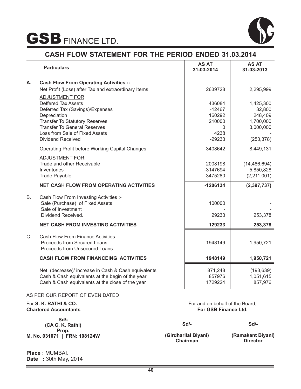

### **CASH FLOW STATEMENT FOR THE PERIOD ENDED 31.03.2014**

|    | <b>Particulars</b>                                            | <b>AS AT</b><br>31-03-2014 | <b>AS AT</b><br>31-03-2013 |
|----|---------------------------------------------------------------|----------------------------|----------------------------|
| А. | <b>Cash Flow From Operating Activities :-</b>                 |                            |                            |
|    | Net Profit (Loss) after Tax and extraordinary Items           | 2639728                    | 2,295,999                  |
|    | <b>ADJUSTMENT FOR</b>                                         |                            |                            |
|    | <b>Deffered Tax Assets</b><br>Deferred Tax (Savings)/Expenses | 436084<br>$-12467$         | 1,425,300<br>32,800        |
|    | Depreciation                                                  | 160292                     | 248,409                    |
|    | <b>Transfer To Statutory Reserves</b>                         | 210000                     | 1,700,000                  |
|    | <b>Transfer To General Reserves</b>                           | 0                          | 3,000,000                  |
|    | Loss from Sale of Fixed Assets                                | 4238                       |                            |
|    | <b>Dividend Received</b>                                      | $-29233$                   | (253, 378)                 |
|    | Operating Profit before Working Capital Changes               | 3408642                    | 8,449,131                  |
|    | <b>ADJUSTMENT FOR:</b>                                        |                            |                            |
|    | Trade and other Receivable                                    | 2008198                    | (14, 486, 694)             |
|    | Inventories                                                   | $-3147694$                 | 5,850,828                  |
|    | <b>Trade Payable</b>                                          | -3475280                   | (2,211,001)                |
|    | <b>NET CASH FLOW FROM OPERATING ACTIVITIES</b>                | $-1206134$                 | (2, 397, 737)              |
| B. | Cash Flow From Investing Activities :-                        |                            |                            |
|    | Sale (Purchase) of Fixed Assets                               | 100000                     |                            |
|    | Sale of Investment                                            |                            |                            |
|    | Dividend Received.                                            | 29233                      | 253,378                    |
|    | <b>NET CASH FROM INVESTING ACTIVITIES</b>                     | 129233                     | 253,378                    |
| C. | Cash Flow From Finance Activities :-                          |                            |                            |
|    | Proceeds from Secured Loans                                   | 1948149                    | 1,950,721                  |
|    | Proceeds from Unsecured Loans                                 |                            |                            |
|    | <b>CASH FLOW FROM FINANCEING ACTIVITIES</b>                   | 1948149                    | 1,950,721                  |
|    | Net (decrease)/ increase in Cash & Cash equivalents           | 871,248                    | (193, 639)                 |
|    | Cash & Cash equivalents at the begin of the year              | 857976                     | 1,051,615                  |
|    | Cash & Cash equivalents at the close of the year              | 1729224                    | 857,976                    |
|    | AS PER OUR REPORT OF EVEN DATED                               |                            |                            |

#### For **S. K. RATHI & CO. Chartered Accountants**

**Sd/- (CA C. K. Rathi) Prop. M. No. 031071 | FRN: 108124W**

**Sd/-**

**Sd/-**

For and on behalf of the Board, **For GSB Finance Ltd.** 

**(Girdharilal Biyani) Chairman**

**(Ramakant Biyani) Director** 

**Place :** MUMBAI. **Date :** 30th May, 2014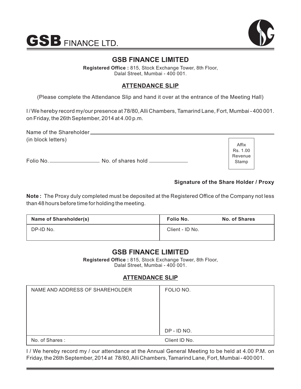



### **GSB FINANCE LIMITED**

**Registered Office :** 815, Stock Exchange Tower, 8th Floor, Dalal Street, Mumbai - 400 001.

### **ATTENDANCE SLIP**

(Please complete the Attendance Slip and hand it over at the entrance of the Meeting Hall)

I / We hereby record my/our presence at 78/80, Alli Chambers, Tamarind Lane, Fort, Mumbai - 400 001. on Friday, the 26th September, 2014 at 4.00 p.m.

| Name of the Shareholder |                              |          |  |
|-------------------------|------------------------------|----------|--|
| (in block letters)      |                              |          |  |
|                         |                              | Affix    |  |
|                         |                              | Rs. 1.00 |  |
|                         |                              | Revenue  |  |
| Folio No.               | No. of shares hold _________ | Stamp    |  |
|                         |                              |          |  |

### **Signature of the Share Holder / Proxy**

**Note :** The Proxy duly completed must be deposited at the Registered Office of the Company not less than 48 hours before time for holding the meeting.

| Name of Shareholder(s) | Folio No.       | <b>No. of Shares</b> |
|------------------------|-----------------|----------------------|
| DP-ID No.              | Client - ID No. |                      |

### **GSB FINANCE LIMITED**

**Registered Office :** 815, Stock Exchange Tower, 8th Floor, Dalal Street, Mumbai - 400 001.

### **ATTENDANCE SLIP**

| NAME AND ADDRESS OF SHAREHOLDER | FOLIO NO.     |
|---------------------------------|---------------|
|                                 |               |
|                                 |               |
|                                 |               |
|                                 |               |
|                                 | DP - ID NO.   |
| No. of Shares:                  | Client ID No. |

I / We hereby record my / our attendance at the Annual General Meeting to be held at 4.00 P.M. on Friday, the 26th September, 2014 at 78/80, Alli Chambers, Tamarind Lane, Fort, Mumbai - 400 001.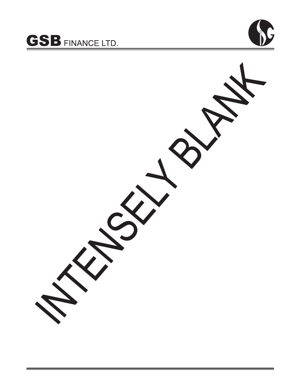